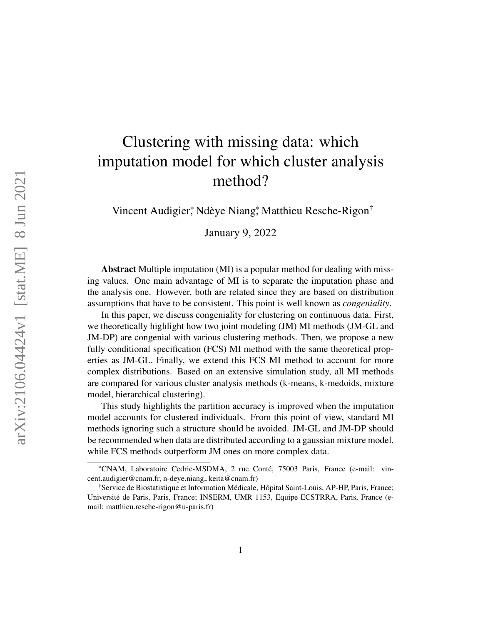# Clustering with missing data: which imputation model for which cluster analysis method?

Vincent Audigier,\* Ndèye Niang,\* Matthieu Resche-Rigon<sup>†</sup>

January 9, 2022

Abstract Multiple imputation (MI) is a popular method for dealing with missing values. One main advantage of MI is to separate the imputation phase and the analysis one. However, both are related since they are based on distribution assumptions that have to be consistent. This point is well known as *congeniality*.

In this paper, we discuss congeniality for clustering on continuous data. First, we theoretically highlight how two joint modeling (JM) MI methods (JM-GL and JM-DP) are congenial with various clustering methods. Then, we propose a new fully conditional specification (FCS) MI method with the same theoretical properties as JM-GL. Finally, we extend this FCS MI method to account for more complex distributions. Based on an extensive simulation study, all MI methods are compared for various cluster analysis methods (k-means, k-medoids, mixture model, hierarchical clustering).

This study highlights the partition accuracy is improved when the imputation model accounts for clustered individuals. From this point of view, standard MI methods ignoring such a structure should be avoided. JM-GL and JM-DP should be recommended when data are distributed according to a gaussian mixture model, while FCS methods outperform JM ones on more complex data.

<sup>\*</sup>CNAM, Laboratoire Cedric-MSDMA, 2 rue Conte, 75003 Paris, France (e-mail: vin- ´ cent.audigier@cnam.fr, n-deye.niang\_keita@cnam.fr)

<sup>&</sup>lt;sup>†</sup>Service de Biostatistique et Information Médicale, Hôpital Saint-Louis, AP-HP, Paris, France; Universite de Paris, Paris, France; INSERM, UMR 1153, Equipe ECSTRRA, Paris, France (e- ´ mail: matthieu.resche-rigon@u-paris.fr)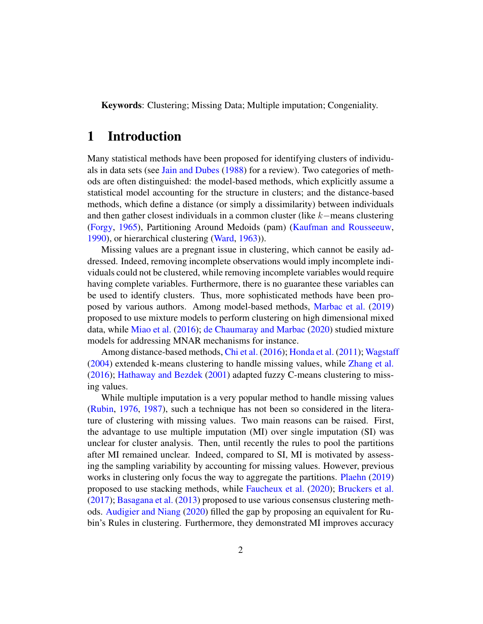Keywords: Clustering; Missing Data; Multiple imputation; Congeniality.

## 1 Introduction

Many statistical methods have been proposed for identifying clusters of individuals in data sets (see [Jain and Dubes](#page-29-0) [\(1988\)](#page-29-0) for a review). Two categories of methods are often distinguished: the model-based methods, which explicitly assume a statistical model accounting for the structure in clusters; and the distance-based methods, which define a distance (or simply a dissimilarity) between individuals and then gather closest individuals in a common cluster (like k−means clustering [\(Forgy,](#page-29-1) [1965\)](#page-29-1), Partitioning Around Medoids (pam) [\(Kaufman and Rousseeuw,](#page-29-2) [1990\)](#page-29-2), or hierarchical clustering [\(Ward,](#page-29-3) [1963\)](#page-29-3)).

Missing values are a pregnant issue in clustering, which cannot be easily addressed. Indeed, removing incomplete observations would imply incomplete individuals could not be clustered, while removing incomplete variables would require having complete variables. Furthermore, there is no guarantee these variables can be used to identify clusters. Thus, more sophisticated methods have been proposed by various authors. Among model-based methods, [Marbac et al.](#page-29-4) [\(2019\)](#page-29-4) proposed to use mixture models to perform clustering on high dimensional mixed data, while [Miao et al.](#page-29-5) [\(2016\)](#page-29-5); [de Chaumaray and Marbac](#page-29-6) [\(2020\)](#page-29-6) studied mixture models for addressing MNAR mechanisms for instance.

Among distance-based methods, [Chi et al.](#page-29-7) [\(2016\)](#page-29-7); [Honda et al.](#page-29-8) [\(2011\)](#page-29-8); [Wagstaff](#page-29-9) [\(2004\)](#page-29-9) extended k-means clustering to handle missing values, while [Zhang et al.](#page-30-0) [\(2016\)](#page-30-0); [Hathaway and Bezdek](#page-30-1) [\(2001\)](#page-30-1) adapted fuzzy C-means clustering to missing values.

While multiple imputation is a very popular method to handle missing values [\(Rubin,](#page-30-2) [1976,](#page-30-2) [1987\)](#page-30-3), such a technique has not been so considered in the literature of clustering with missing values. Two main reasons can be raised. First, the advantage to use multiple imputation (MI) over single imputation (SI) was unclear for cluster analysis. Then, until recently the rules to pool the partitions after MI remained unclear. Indeed, compared to SI, MI is motivated by assessing the sampling variability by accounting for missing values. However, previous works in clustering only focus the way to aggregate the partitions. [Plaehn](#page-30-4) [\(2019\)](#page-30-4) proposed to use stacking methods, while [Faucheux et al.](#page-30-5) [\(2020\)](#page-30-5); [Bruckers et al.](#page-30-6) [\(2017\)](#page-30-6); [Basagana et al.](#page-30-7) [\(2013\)](#page-30-7) proposed to use various consensus clustering methods. [Audigier and Niang](#page-30-8) [\(2020\)](#page-30-8) filled the gap by proposing an equivalent for Rubin's Rules in clustering. Furthermore, they demonstrated MI improves accuracy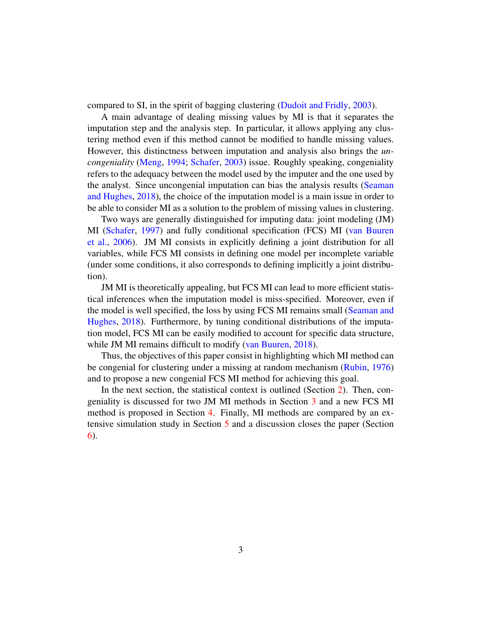compared to SI, in the spirit of bagging clustering [\(Dudoit and Fridly,](#page-30-9) [2003\)](#page-30-9).

A main advantage of dealing missing values by MI is that it separates the imputation step and the analysis step. In particular, it allows applying any clustering method even if this method cannot be modified to handle missing values. However, this distinctness between imputation and analysis also brings the *uncongeniality* [\(Meng,](#page-30-10) [1994;](#page-30-10) [Schafer,](#page-30-11) [2003\)](#page-30-11) issue. Roughly speaking, congeniality refers to the adequacy between the model used by the imputer and the one used by the analyst. Since uncongenial imputation can bias the analysis results [\(Seaman](#page-31-0) [and Hughes,](#page-31-0) [2018\)](#page-31-0), the choice of the imputation model is a main issue in order to be able to consider MI as a solution to the problem of missing values in clustering.

Two ways are generally distinguished for imputing data: joint modeling (JM) MI [\(Schafer,](#page-31-1) [1997\)](#page-31-1) and fully conditional specification (FCS) MI [\(van Buuren](#page-31-2) [et al.,](#page-31-2) [2006\)](#page-31-2). JM MI consists in explicitly defining a joint distribution for all variables, while FCS MI consists in defining one model per incomplete variable (under some conditions, it also corresponds to defining implicitly a joint distribution).

JM MI is theoretically appealing, but FCS MI can lead to more efficient statistical inferences when the imputation model is miss-specified. Moreover, even if the model is well specified, the loss by using FCS MI remains small [\(Seaman and](#page-31-0) [Hughes,](#page-31-0) [2018\)](#page-31-0). Furthermore, by tuning conditional distributions of the imputation model, FCS MI can be easily modified to account for specific data structure, while JM MI remains difficult to modify [\(van Buuren,](#page-31-3) [2018\)](#page-31-3).

Thus, the objectives of this paper consist in highlighting which MI method can be congenial for clustering under a missing at random mechanism [\(Rubin,](#page-30-2) [1976\)](#page-30-2) and to propose a new congenial FCS MI method for achieving this goal.

In the next section, the statistical context is outlined (Section [2\)](#page-3-0). Then, congeniality is discussed for two JM MI methods in Section [3](#page-5-0) and a new FCS MI method is proposed in Section [4.](#page-10-0) Finally, MI methods are compared by an extensive simulation study in Section [5](#page-12-0) and a discussion closes the paper (Section [6\)](#page-27-0).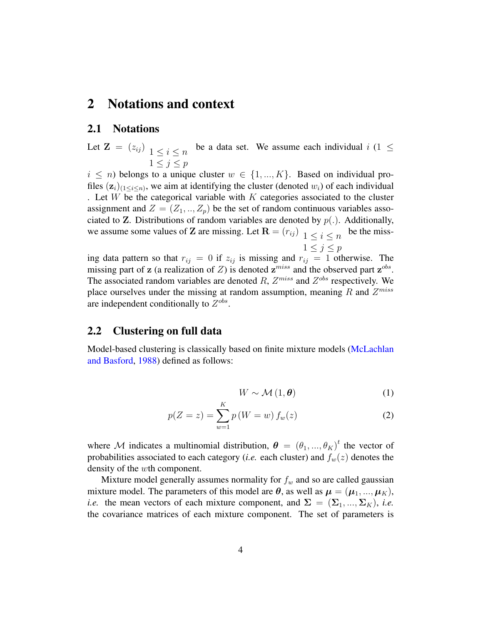## <span id="page-3-0"></span>2 Notations and context

### 2.1 Notations

Let  $\mathbf{Z} = (z_{ij})_{1 \leq i \leq n}$  be a data set. We assume each individual  $i$  (1  $\leq$  $1 \leq j \leq p$ 

 $i \leq n$ ) belongs to a unique cluster  $w \in \{1, ..., K\}$ . Based on individual profiles  $(z_i)_{(1 \le i \le n)}$ , we aim at identifying the cluster (denoted  $w_i$ ) of each individual . Let  $W$  be the categorical variable with  $K$  categories associated to the cluster assignment and  $Z = (Z_1, ..., Z_p)$  be the set of random continuous variables associated to **Z**. Distributions of random variables are denoted by  $p(.)$ . Additionally, we assume some values of **Z** are missing. Let  $\mathbf{R} = (r_{ij}) \Big| 1 \le i \le n$  be the miss- $1 \leq j \leq p$ 

ing data pattern so that  $r_{ij} = 0$  if  $z_{ij}$  is missing and  $r_{ij} = 1$  otherwise. The missing part of z (a realization of Z) is denoted  $z^{miss}$  and the observed part  $z^{obs}$ . The associated random variables are denoted R,  $Z^{miss}$  and  $Z^{obs}$  respectively. We place ourselves under the missing at random assumption, meaning R and  $Z^{miss}$ are independent conditionally to  $Z^{obs}$ .

## <span id="page-3-1"></span>2.2 Clustering on full data

Model-based clustering is classically based on finite mixture models [\(McLachlan](#page-31-4) [and Basford,](#page-31-4) [1988\)](#page-31-4) defined as follows:

$$
W \sim \mathcal{M} \left( 1, \boldsymbol{\theta} \right) \tag{1}
$$

$$
p(Z = z) = \sum_{w=1}^{K} p(W = w) f_w(z)
$$
 (2)

where M indicates a multinomial distribution,  $\boldsymbol{\theta} = (\theta_1, ..., \theta_K)^t$  the vector of probabilities associated to each category (*i.e.* each cluster) and  $f_w(z)$  denotes the density of the wth component.

Mixture model generally assumes normality for  $f_w$  and so are called gaussian mixture model. The parameters of this model are  $\theta$ , as well as  $\mu = (\mu_1, ..., \mu_K)$ , *i.e.* the mean vectors of each mixture component, and  $\Sigma = (\Sigma_1, ..., \Sigma_K)$ , *i.e.* the covariance matrices of each mixture component. The set of parameters is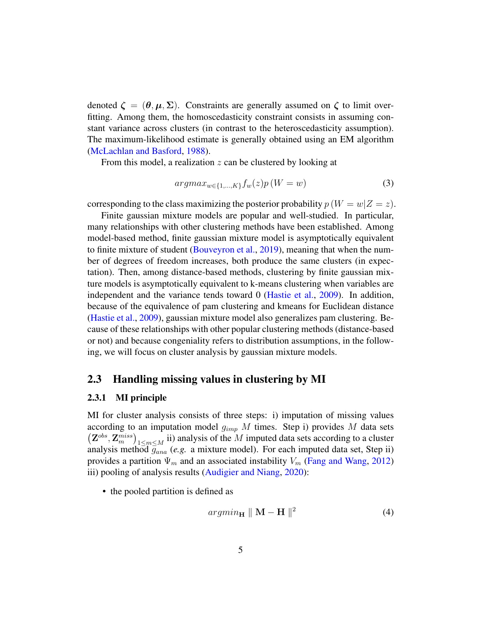denoted  $\zeta = (\theta, \mu, \Sigma)$ . Constraints are generally assumed on  $\zeta$  to limit overfitting. Among them, the homoscedasticity constraint consists in assuming constant variance across clusters (in contrast to the heteroscedasticity assumption). The maximum-likelihood estimate is generally obtained using an EM algorithm [\(McLachlan and Basford,](#page-31-4) [1988\)](#page-31-4).

From this model, a realization  $z$  can be clustered by looking at

$$
argmax_{w \in \{1, \dots, K\}} f_w(z) p(W = w) \tag{3}
$$

corresponding to the class maximizing the posterior probability  $p(W = w|Z = z)$ .

Finite gaussian mixture models are popular and well-studied. In particular, many relationships with other clustering methods have been established. Among model-based method, finite gaussian mixture model is asymptotically equivalent to finite mixture of student [\(Bouveyron et al.,](#page-31-5) [2019\)](#page-31-5), meaning that when the number of degrees of freedom increases, both produce the same clusters (in expectation). Then, among distance-based methods, clustering by finite gaussian mixture models is asymptotically equivalent to k-means clustering when variables are independent and the variance tends toward 0 [\(Hastie et al.,](#page-31-6) [2009\)](#page-31-6). In addition, because of the equivalence of pam clustering and kmeans for Euclidean distance [\(Hastie et al.,](#page-31-6) [2009\)](#page-31-6), gaussian mixture model also generalizes pam clustering. Because of these relationships with other popular clustering methods (distance-based or not) and because congeniality refers to distribution assumptions, in the following, we will focus on cluster analysis by gaussian mixture models.

### 2.3 Handling missing values in clustering by MI

#### 2.3.1 MI principle

MI for cluster analysis consists of three steps: i) imputation of missing values according to an imputation model  $g_{imp}$  M times. Step i) provides M data sets  $(Z^{obs}, Z^{miss}_{m})$ <sub>1 $\leq m \leq M$ </sub> ii) analysis of the M imputed data sets according to a cluster analysis method  $\overline{g_{ana}}$  (*e.g.* a mixture model). For each imputed data set, Step ii) provides a partition  $\Psi_m$  and an associated instability  $V_m$  [\(Fang and Wang,](#page-31-7) [2012\)](#page-31-7) iii) pooling of analysis results [\(Audigier and Niang,](#page-30-8) [2020\)](#page-30-8):

• the pooled partition is defined as

$$
argmin_{\mathbf{H}} \parallel \mathbf{M} - \mathbf{H} \parallel^{2} \tag{4}
$$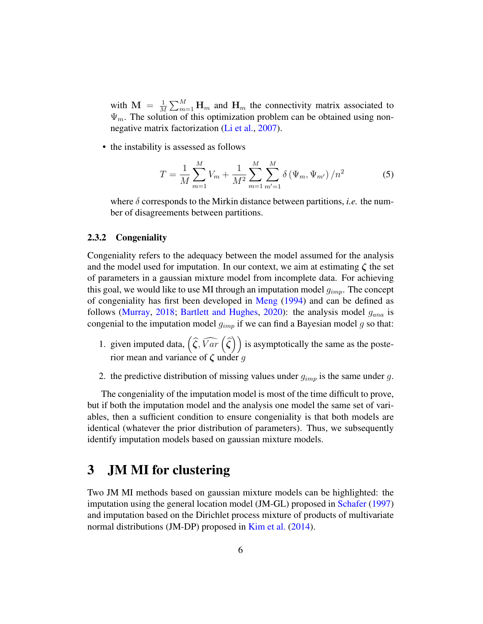with  $\mathbf{M} = \frac{1}{M}$  $\frac{1}{M} \sum_{m=1}^{M}$  H<sub>m</sub> and H<sub>m</sub> the connectivity matrix associated to  $\Psi_m$ . The solution of this optimization problem can be obtained using nonnegative matrix factorization [\(Li et al.,](#page-31-8) [2007\)](#page-31-8).

• the instability is assessed as follows

<span id="page-5-2"></span>
$$
T = \frac{1}{M} \sum_{m=1}^{M} V_m + \frac{1}{M^2} \sum_{m=1}^{M} \sum_{m'=1}^{M} \delta(\Psi_m, \Psi_{m'}) / n^2
$$
 (5)

where  $\delta$  corresponds to the Mirkin distance between partitions, *i.e.* the number of disagreements between partitions.

#### <span id="page-5-1"></span>2.3.2 Congeniality

Congeniality refers to the adequacy between the model assumed for the analysis and the model used for imputation. In our context, we aim at estimating  $\zeta$  the set of parameters in a gaussian mixture model from incomplete data. For achieving this goal, we would like to use MI through an imputation model  $g_{imp}$ . The concept of congeniality has first been developed in [Meng](#page-30-10) [\(1994\)](#page-30-10) and can be defined as follows [\(Murray,](#page-32-0) [2018;](#page-32-0) [Bartlett and Hughes,](#page-32-1) [2020\)](#page-32-1): the analysis model  $g_{ana}$  is congenial to the imputation model  $g_{imp}$  if we can find a Bayesian model g so that:

- 1. given imputed data,  $(\widehat{\zeta}, \widehat{Var}(\widehat{\zeta}))$  is asymptotically the same as the posterior mean and variance of  $\zeta$  under g
- 2. the predictive distribution of missing values under  $g_{imp}$  is the same under g.

The congeniality of the imputation model is most of the time difficult to prove, but if both the imputation model and the analysis one model the same set of variables, then a sufficient condition to ensure congeniality is that both models are identical (whatever the prior distribution of parameters). Thus, we subsequently identify imputation models based on gaussian mixture models.

## <span id="page-5-0"></span>3 JM MI for clustering

Two JM MI methods based on gaussian mixture models can be highlighted: the imputation using the general location model (JM-GL) proposed in [Schafer](#page-31-1) [\(1997\)](#page-31-1) and imputation based on the Dirichlet process mixture of products of multivariate normal distributions (JM-DP) proposed in [Kim et al.](#page-32-2) [\(2014\)](#page-32-2).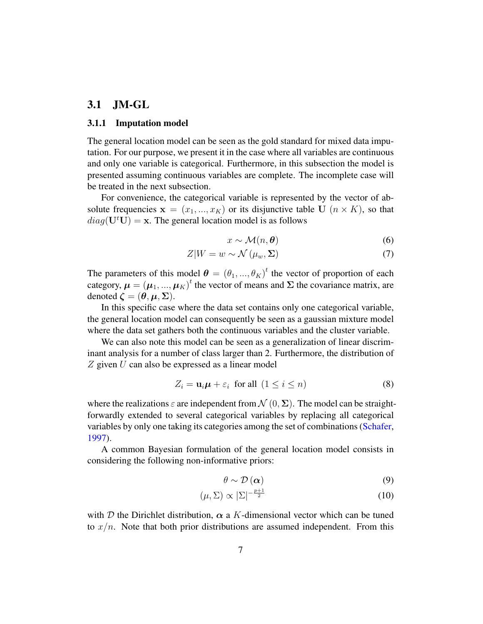## 3.1 JM-GL

#### 3.1.1 Imputation model

The general location model can be seen as the gold standard for mixed data imputation. For our purpose, we present it in the case where all variables are continuous and only one variable is categorical. Furthermore, in this subsection the model is presented assuming continuous variables are complete. The incomplete case will be treated in the next subsection.

For convenience, the categorical variable is represented by the vector of absolute frequencies  $x = (x_1, ..., x_K)$  or its disjunctive table U  $(n \times K)$ , so that  $diag(U<sup>t</sup>U) = x$ . The general location model is as follows

$$
x \sim \mathcal{M}(n, \theta) \tag{6}
$$

$$
Z|W = w \sim \mathcal{N}(\mu_w, \Sigma)
$$
 (7)

The parameters of this model  $\boldsymbol{\theta} = (\theta_1, ..., \theta_K)^t$  the vector of proportion of each category,  $\boldsymbol{\mu} = (\boldsymbol{\mu}_1, ..., \boldsymbol{\mu}_K)^t$  the vector of means and  $\boldsymbol{\Sigma}$  the covariance matrix, are denoted  $\zeta = (\theta, \mu, \Sigma)$ .

In this specific case where the data set contains only one categorical variable, the general location model can consequently be seen as a gaussian mixture model where the data set gathers both the continuous variables and the cluster variable.

We can also note this model can be seen as a generalization of linear discriminant analysis for a number of class larger than 2. Furthermore, the distribution of  $Z$  given  $U$  can also be expressed as a linear model

<span id="page-6-0"></span>
$$
Z_i = \mathbf{u}_i \boldsymbol{\mu} + \varepsilon_i \text{ for all } (1 \le i \le n)
$$
 (8)

where the realizations  $\varepsilon$  are independent from  $\mathcal{N}(0, \Sigma)$ . The model can be straightforwardly extended to several categorical variables by replacing all categorical variables by only one taking its categories among the set of combinations [\(Schafer,](#page-31-1) [1997\)](#page-31-1).

A common Bayesian formulation of the general location model consists in considering the following non-informative priors:

$$
\theta \sim \mathcal{D}\left(\alpha\right) \tag{9}
$$

$$
(\mu, \Sigma) \propto |\Sigma|^{-\frac{p+1}{2}} \tag{10}
$$

with D the Dirichlet distribution,  $\alpha$  a K-dimensional vector which can be tuned to  $x/n$ . Note that both prior distributions are assumed independent. From this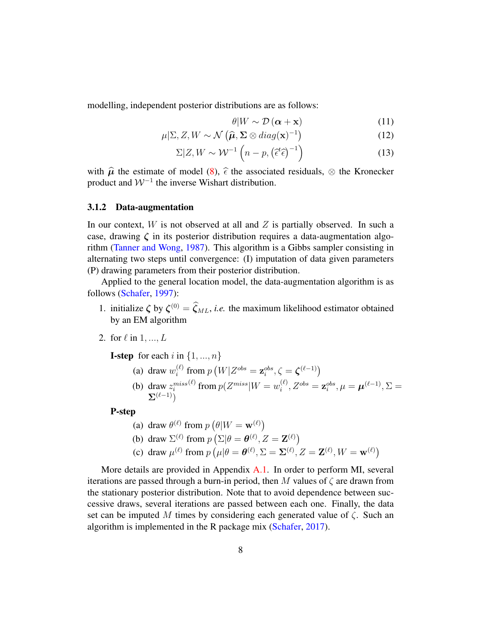modelling, independent posterior distributions are as follows:

<span id="page-7-5"></span>
$$
\theta|W \sim \mathcal{D}\left(\boldsymbol{\alpha} + \mathbf{x}\right) \tag{11}
$$

$$
\mu|\Sigma, Z, W \sim \mathcal{N}\left(\widehat{\boldsymbol{\mu}}, \Sigma \otimes diag(\mathbf{x})^{-1}\right) \tag{12}
$$

$$
\Sigma | Z, W \sim \mathcal{W}^{-1} \left( n - p, \left( \tilde{\epsilon}^t \tilde{\epsilon} \right)^{-1} \right) \tag{13}
$$

with  $\hat{\mu}$  the estimate of model [\(8\)](#page-6-0),  $\hat{\epsilon}$  the associated residuals,  $\otimes$  the Kronecker product and  $W^{-1}$  the inverse Wishart distribution.

#### 3.1.2 Data-augmentation

In our context,  $W$  is not observed at all and  $Z$  is partially observed. In such a case, drawing  $\zeta$  in its posterior distribution requires a data-augmentation algorithm [\(Tanner and Wong,](#page-32-3) [1987\)](#page-32-3). This algorithm is a Gibbs sampler consisting in alternating two steps until convergence: (I) imputation of data given parameters (P) drawing parameters from their posterior distribution.

Applied to the general location model, the data-augmentation algorithm is as follows [\(Schafer,](#page-31-1) [1997\)](#page-31-1):

- 1. initialize  $\zeta$  by  $\zeta^{(0)} = \zeta_{ML}$ , *i.e.* the maximum likelihood estimator obtained by an EM algorithm
- 2. for  $\ell$  in  $1, ..., L$

<span id="page-7-4"></span><span id="page-7-1"></span><span id="page-7-0"></span>**I-step** for each i in  $\{1, ..., n\}$ 

(a) draw  $w_i^{(\ell)}$  $\mathbf{z}_i^{(\ell)}$  from  $p\left(W|Z^{obs}=\mathbf{z}_i^{obs}, \zeta=\boldsymbol{\zeta}^{(\ell-1)}\right)$ (b) draw  $z_i^{miss}$  $\mathcal{L}^{(\ell)}$  from  $p(Z^{miss}|W=w_i^{(\ell)})$  $\mathbf{z}_{i}^{(\ell)},Z^{obs}=\mathbf{z}_{i}^{obs},\mu=\boldsymbol{\mu}^{(\ell-1)},\Sigma=$  $\sum_{\ell}$ ( $\ell-1$ ))

#### <span id="page-7-3"></span><span id="page-7-2"></span>P-step

(a) draw  $\theta^{(\ell)}$  from  $p(\theta|W = \mathbf{w}^{(\ell)})$ (b) draw  $\Sigma^{(\ell)}$  from  $p\left(\Sigma|\theta=\theta^{(\ell)}, Z=\mathbf{Z}^{(\ell)}\right)$ (c) draw  $\mu^{(\ell)}$  from  $p(\mu|\theta = \theta^{(\ell)}, \Sigma = \Sigma^{(\ell)}, Z = \mathbf{Z}^{(\ell)}, W = \mathbf{w}^{(\ell)})$ 

More details are provided in Appendix  $A.1$ . In order to perform MI, several iterations are passed through a burn-in period, then M values of  $\zeta$  are drawn from the stationary posterior distribution. Note that to avoid dependence between successive draws, several iterations are passed between each one. Finally, the data set can be imputed M times by considering each generated value of  $\zeta$ . Such an algorithm is implemented in the R package mix [\(Schafer,](#page-32-4) [2017\)](#page-32-4).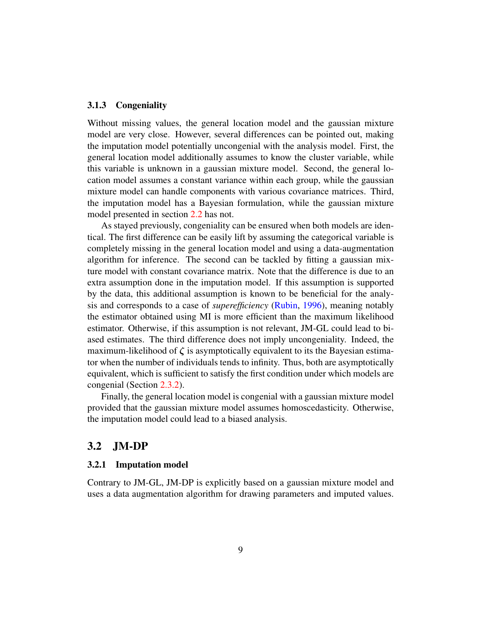#### 3.1.3 Congeniality

Without missing values, the general location model and the gaussian mixture model are very close. However, several differences can be pointed out, making the imputation model potentially uncongenial with the analysis model. First, the general location model additionally assumes to know the cluster variable, while this variable is unknown in a gaussian mixture model. Second, the general location model assumes a constant variance within each group, while the gaussian mixture model can handle components with various covariance matrices. Third, the imputation model has a Bayesian formulation, while the gaussian mixture model presented in section [2.2](#page-3-1) has not.

As stayed previously, congeniality can be ensured when both models are identical. The first difference can be easily lift by assuming the categorical variable is completely missing in the general location model and using a data-augmentation algorithm for inference. The second can be tackled by fitting a gaussian mixture model with constant covariance matrix. Note that the difference is due to an extra assumption done in the imputation model. If this assumption is supported by the data, this additional assumption is known to be beneficial for the analysis and corresponds to a case of *superefficiency* [\(Rubin,](#page-32-5) [1996\)](#page-32-5), meaning notably the estimator obtained using MI is more efficient than the maximum likelihood estimator. Otherwise, if this assumption is not relevant, JM-GL could lead to biased estimates. The third difference does not imply uncongeniality. Indeed, the maximum-likelihood of  $\zeta$  is asymptotically equivalent to its the Bayesian estimator when the number of individuals tends to infinity. Thus, both are asymptotically equivalent, which is sufficient to satisfy the first condition under which models are congenial (Section [2.3.2\)](#page-5-1).

Finally, the general location model is congenial with a gaussian mixture model provided that the gaussian mixture model assumes homoscedasticity. Otherwise, the imputation model could lead to a biased analysis.

## 3.2 JM-DP

#### 3.2.1 Imputation model

Contrary to JM-GL, JM-DP is explicitly based on a gaussian mixture model and uses a data augmentation algorithm for drawing parameters and imputed values.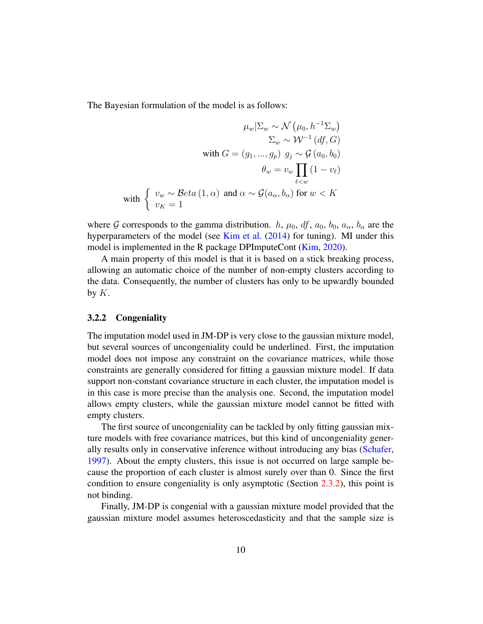The Bayesian formulation of the model is as follows:

$$
\mu_w|\Sigma_w \sim \mathcal{N}\left(\mu_0, h^{-1}\Sigma_w\right)
$$

$$
\Sigma_w \sim \mathcal{W}^{-1}\left(df, G\right)
$$
  
with 
$$
G = (g_1, ..., g_p) \ g_j \sim \mathcal{G}\left(a_0, b_0\right)
$$

$$
\theta_w = v_w \prod_{\ell < w} \left(1 - v_\ell\right)
$$
  
with 
$$
\left\{\begin{array}{l} v_w \sim \text{Beta}\left(1, \alpha\right) \text{ and } \alpha \sim \mathcal{G}(a_\alpha, b_\alpha) \text{ for } w < K\\ v_K = 1 \end{array}\right.
$$

where G corresponds to the gamma distribution. h,  $\mu_0$ ,  $df$ ,  $a_0$ ,  $b_0$ ,  $a_\alpha$ ,  $b_\alpha$  are the hyperparameters of the model (see [Kim et al.](#page-32-2) [\(2014\)](#page-32-2) for tuning). MI under this model is implemented in the R package DPImputeCont [\(Kim,](#page-32-6) [2020\)](#page-32-6).

A main property of this model is that it is based on a stick breaking process, allowing an automatic choice of the number of non-empty clusters according to the data. Consequently, the number of clusters has only to be upwardly bounded by  $K$ .

#### 3.2.2 Congeniality

The imputation model used in JM-DP is very close to the gaussian mixture model, but several sources of uncongeniality could be underlined. First, the imputation model does not impose any constraint on the covariance matrices, while those constraints are generally considered for fitting a gaussian mixture model. If data support non-constant covariance structure in each cluster, the imputation model is in this case is more precise than the analysis one. Second, the imputation model allows empty clusters, while the gaussian mixture model cannot be fitted with empty clusters.

The first source of uncongeniality can be tackled by only fitting gaussian mixture models with free covariance matrices, but this kind of uncongeniality generally results only in conservative inference without introducing any bias [\(Schafer,](#page-31-1) [1997\)](#page-31-1). About the empty clusters, this issue is not occurred on large sample because the proportion of each cluster is almost surely over than 0. Since the first condition to ensure congeniality is only asymptotic (Section [2.3.2\)](#page-5-1), this point is not binding.

Finally, JM-DP is congenial with a gaussian mixture model provided that the gaussian mixture model assumes heteroscedasticity and that the sample size is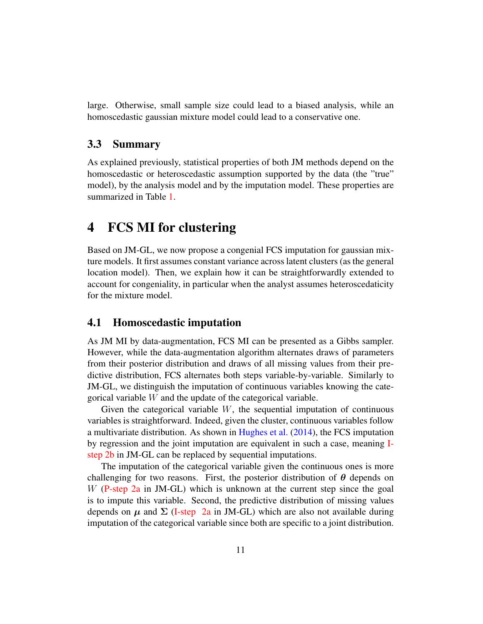large. Otherwise, small sample size could lead to a biased analysis, while an homoscedastic gaussian mixture model could lead to a conservative one.

## 3.3 Summary

As explained previously, statistical properties of both JM methods depend on the homoscedastic or heteroscedastic assumption supported by the data (the "true" model), by the analysis model and by the imputation model. These properties are summarized in Table [1.](#page-12-1)

## <span id="page-10-0"></span>4 FCS MI for clustering

Based on JM-GL, we now propose a congenial FCS imputation for gaussian mixture models. It first assumes constant variance across latent clusters (as the general location model). Then, we explain how it can be straightforwardly extended to account for congeniality, in particular when the analyst assumes heteroscedaticity for the mixture model.

### <span id="page-10-1"></span>4.1 Homoscedastic imputation

As JM MI by data-augmentation, FCS MI can be presented as a Gibbs sampler. However, while the data-augmentation algorithm alternates draws of parameters from their posterior distribution and draws of all missing values from their predictive distribution, FCS alternates both steps variable-by-variable. Similarly to JM-GL, we distinguish the imputation of continuous variables knowing the categorical variable W and the update of the categorical variable.

Given the categorical variable  $W$ , the sequential imputation of continuous variables is straightforward. Indeed, given the cluster, continuous variables follow a multivariate distribution. As shown in [Hughes et al.](#page-32-7) [\(2014\)](#page-32-7), the FCS imputation by regression and the joint imputation are equivalent in such a case, meaning [I](#page-7-0)[step](#page-7-0) [2b](#page-7-1) in JM-GL can be replaced by sequential imputations.

The imputation of the categorical variable given the continuous ones is more challenging for two reasons. First, the posterior distribution of  $\theta$  depends on W [\(P-step](#page-7-2) [2a](#page-7-3) in JM-GL) which is unknown at the current step since the goal is to impute this variable. Second, the predictive distribution of missing values depends on  $\mu$  and  $\Sigma$  [\(I-step](#page-7-0) [2a](#page-7-4) in JM-GL) which are also not available during imputation of the categorical variable since both are specific to a joint distribution.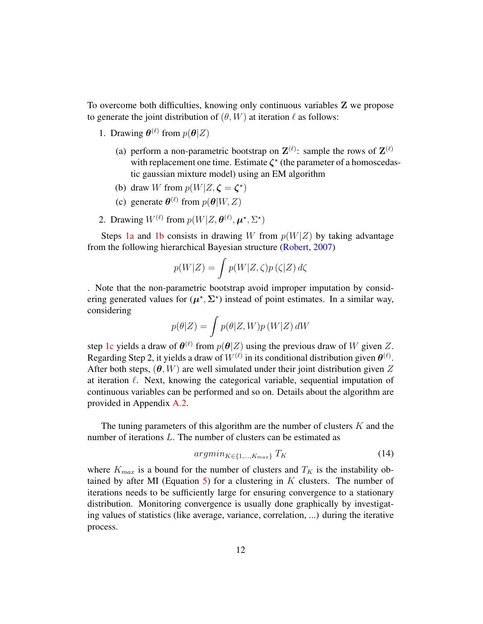To overcome both difficulties, knowing only continuous variables Z we propose to generate the joint distribution of  $(\theta, W)$  at iteration  $\ell$  as follows:

- <span id="page-11-0"></span>1. Drawing  $\boldsymbol{\theta}^{(\ell)}$  from  $p(\boldsymbol{\theta}|Z)$ 
	- (a) perform a non-parametric bootstrap on  $\mathbf{Z}^{(\ell)}$ : sample the rows of  $\mathbf{Z}^{(\ell)}$ with replacement one time. Estimate  $\zeta^*$  (the parameter of a homoscedastic gaussian mixture model) using an EM algorithm
	- (b) draw W from  $p(W|Z, \zeta = \zeta^*)$
	- (c) generate  $\boldsymbol{\theta}^{(\ell)}$  from  $p(\boldsymbol{\theta}|W, Z)$
- <span id="page-11-3"></span><span id="page-11-2"></span><span id="page-11-1"></span>2. Drawing  $W^{(\ell)}$  from  $p(W|Z, \theta^{(\ell)}, \mu^*, \Sigma^*)$

Steps [1a](#page-11-0) and [1b](#page-11-1) consists in drawing W from  $p(W|Z)$  by taking advantage from the following hierarchical Bayesian structure [\(Robert,](#page-32-8) [2007\)](#page-32-8)

$$
p(W|Z) = \int p(W|Z,\zeta)p(\zeta|Z) d\zeta
$$

. Note that the non-parametric bootstrap avoid improper imputation by considering generated values for  $(\mu^*, \Sigma^*)$  instead of point estimates. In a similar way, considering

$$
p(\theta|Z) = \int p(\theta|Z, W)p(W|Z) dW
$$

step [1c](#page-11-2) yields a draw of  $\theta^{(\ell)}$  from  $p(\theta|Z)$  using the previous draw of W given Z. Regarding Step 2, it yields a draw of  $W^{(\ell)}$  in its conditional distribution given  $\boldsymbol{\theta}^{(\ell)}$ . After both steps,  $(\theta, W)$  are well simulated under their joint distribution given Z at iteration  $\ell$ . Next, knowing the categorical variable, sequential imputation of continuous variables can be performed and so on. Details about the algorithm are provided in Appendix [A.2.](#page-35-0)

The tuning parameters of this algorithm are the number of clusters  $K$  and the number of iterations L. The number of clusters can be estimated as

<span id="page-11-4"></span>
$$
argmin_{K \in \{1,\ldots,K_{max}\}} T_K \tag{14}
$$

where  $K_{max}$  is a bound for the number of clusters and  $T_K$  is the instability ob-tained by after MI (Equation [5\)](#page-5-2) for a clustering in  $K$  clusters. The number of iterations needs to be sufficiently large for ensuring convergence to a stationary distribution. Monitoring convergence is usually done graphically by investigating values of statistics (like average, variance, correlation, ...) during the iterative process.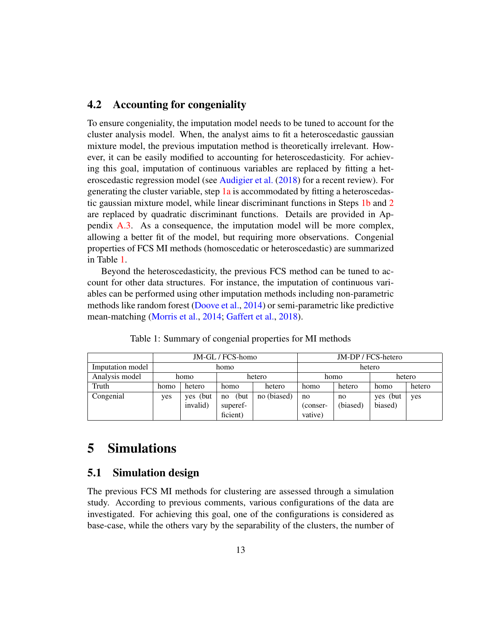## <span id="page-12-2"></span>4.2 Accounting for congeniality

To ensure congeniality, the imputation model needs to be tuned to account for the cluster analysis model. When, the analyst aims to fit a heteroscedastic gaussian mixture model, the previous imputation method is theoretically irrelevant. However, it can be easily modified to accounting for heteroscedasticity. For achieving this goal, imputation of continuous variables are replaced by fitting a heteroscedastic regression model (see [Audigier et al.](#page-32-9) [\(2018\)](#page-32-9) for a recent review). For generating the cluster variable, step [1a](#page-11-0) is accommodated by fitting a heteroscedastic gaussian mixture model, while linear discriminant functions in Steps [1b](#page-11-1) and [2](#page-11-3) are replaced by quadratic discriminant functions. Details are provided in Appendix [A.3.](#page-36-0) As a consequence, the imputation model will be more complex, allowing a better fit of the model, but requiring more observations. Congenial properties of FCS MI methods (homoscedatic or heteroscedastic) are summarized in Table [1.](#page-12-1)

Beyond the heteroscedasticity, the previous FCS method can be tuned to account for other data structures. For instance, the imputation of continuous variables can be performed using other imputation methods including non-parametric methods like random forest [\(Doove et al.,](#page-33-0) [2014\)](#page-33-0) or semi-parametric like predictive mean-matching [\(Morris et al.,](#page-33-1) [2014;](#page-33-1) [Gaffert et al.,](#page-33-2) [2018\)](#page-33-2).

<span id="page-12-1"></span>

|                  |      |          | JM-GL / FCS-homo |             |          |          | JM-DP / FCS-hetero |        |
|------------------|------|----------|------------------|-------------|----------|----------|--------------------|--------|
| Imputation model |      |          | homo             |             |          |          | hetero             |        |
| Analysis model   |      | homo     |                  | hetero      |          | homo     |                    | hetero |
| Truth            | homo | hetero   | homo             | hetero      | homo     | hetero   | homo               | hetero |
| Congenial        | yes  | yes (but | (but)<br>no      | no (biased) | no       | no       | yes (but           | yes    |
|                  |      | invalid) | superef-         |             | (conser- | (biased) | biased)            |        |
|                  |      |          | ficient)         |             | vative)  |          |                    |        |

Table 1: Summary of congenial properties for MI methods

## <span id="page-12-0"></span>5 Simulations

## 5.1 Simulation design

The previous FCS MI methods for clustering are assessed through a simulation study. According to previous comments, various configurations of the data are investigated. For achieving this goal, one of the configurations is considered as base-case, while the others vary by the separability of the clusters, the number of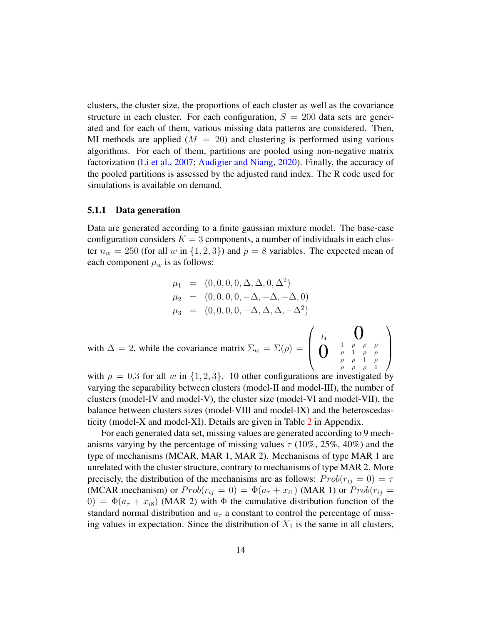clusters, the cluster size, the proportions of each cluster as well as the covariance structure in each cluster. For each configuration,  $S = 200$  data sets are generated and for each of them, various missing data patterns are considered. Then, MI methods are applied  $(M = 20)$  and clustering is performed using various algorithms. For each of them, partitions are pooled using non-negative matrix factorization [\(Li et al.,](#page-31-8) [2007;](#page-31-8) [Audigier and Niang,](#page-30-8) [2020\)](#page-30-8). Finally, the accuracy of the pooled partitions is assessed by the adjusted rand index. The R code used for simulations is available on demand.

#### <span id="page-13-0"></span>5.1.1 Data generation

Data are generated according to a finite gaussian mixture model. The base-case configuration considers  $K = 3$  components, a number of individuals in each cluster  $n_w = 250$  (for all w in  $\{1, 2, 3\}$ ) and  $p = 8$  variables. The expected mean of each component  $\mu_w$  is as follows:

$$
\mu_1 = (0, 0, 0, 0, \Delta, \Delta, 0, \Delta^2)
$$
  
\n
$$
\mu_2 = (0, 0, 0, 0, -\Delta, -\Delta, -\Delta, 0)
$$
  
\n
$$
\mu_3 = (0, 0, 0, 0, -\Delta, \Delta, \Delta, -\Delta^2)
$$
  
\nwith  $\Delta = 2$ , while the covariance matrix  $\Sigma_w = \Sigma(\rho) = \begin{pmatrix} I_4 & \mathbf{0} & \mathbf{0} & \mathbf{0} & \mathbf{0} \\ \mathbf{0} & \frac{1}{\rho} & \frac{\rho}{\rho} & \frac{\rho}{\rho} & \mathbf{0} \\ \mathbf{0} & \frac{1}{\rho} & \frac{\rho}{\rho} & \frac{\rho}{\rho} & \mathbf{0} \end{pmatrix}$ 

with  $\rho = 0.3$  for all w in  $\{1, 2, 3\}$ . 10 other configurations are investigated by varying the separability between clusters (model-II and model-III), the number of clusters (model-IV and model-V), the cluster size (model-VI and model-VII), the balance between clusters sizes (model-VIII and model-IX) and the heteroscedasticity (model-X and model-XI). Details are given in Table [2](#page-38-0) in Appendix.

For each generated data set, missing values are generated according to 9 mechanisms varying by the percentage of missing values  $\tau$  (10%, 25%, 40%) and the type of mechanisms (MCAR, MAR 1, MAR 2). Mechanisms of type MAR 1 are unrelated with the cluster structure, contrary to mechanisms of type MAR 2. More precisely, the distribution of the mechanisms are as follows:  $Prob(r_{ij} = 0) = \tau$ (MCAR mechanism) or  $Prob(r_{ij} = 0) = \Phi(a_{\tau} + x_{i1})$  (MAR 1) or  $Prob(r_{ij} = 0)$  $(0) = \Phi(a_{\tau} + x_{i8})$  (MAR 2) with  $\Phi$  the cumulative distribution function of the standard normal distribution and  $a<sub>\tau</sub>$  a constant to control the percentage of missing values in expectation. Since the distribution of  $X_1$  is the same in all clusters,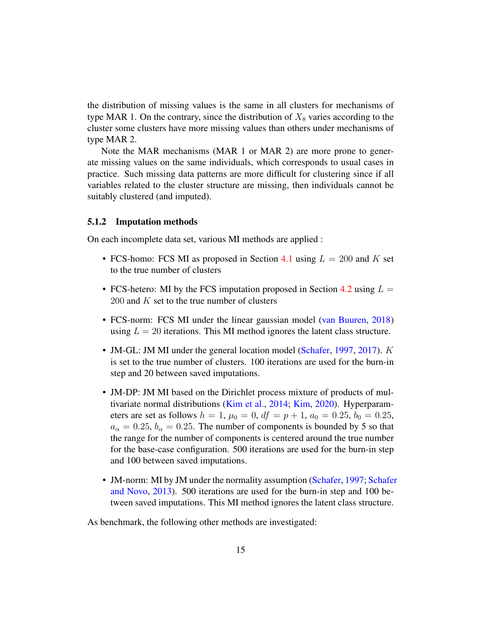the distribution of missing values is the same in all clusters for mechanisms of type MAR 1. On the contrary, since the distribution of  $X_8$  varies according to the cluster some clusters have more missing values than others under mechanisms of type MAR 2.

Note the MAR mechanisms (MAR 1 or MAR 2) are more prone to generate missing values on the same individuals, which corresponds to usual cases in practice. Such missing data patterns are more difficult for clustering since if all variables related to the cluster structure are missing, then individuals cannot be suitably clustered (and imputed).

#### <span id="page-14-0"></span>5.1.2 Imputation methods

On each incomplete data set, various MI methods are applied :

- FCS-homo: FCS MI as proposed in Section [4.1](#page-10-1) using  $L = 200$  and K set to the true number of clusters
- FCS-hetero: MI by the FCS imputation proposed in Section [4.2](#page-12-2) using  $L =$ 200 and  $K$  set to the true number of clusters
- FCS-norm: FCS MI under the linear gaussian model [\(van Buuren,](#page-31-3) [2018\)](#page-31-3) using  $L = 20$  iterations. This MI method ignores the latent class structure.
- JM-GL: JM MI under the general location model [\(Schafer,](#page-31-1) [1997,](#page-31-1) [2017\)](#page-32-4). K is set to the true number of clusters. 100 iterations are used for the burn-in step and 20 between saved imputations.
- JM-DP: JM MI based on the Dirichlet process mixture of products of multivariate normal distributions [\(Kim et al.,](#page-32-2) [2014;](#page-32-2) [Kim,](#page-32-6) [2020\)](#page-32-6). Hyperparameters are set as follows  $h = 1$ ,  $\mu_0 = 0$ ,  $df = p + 1$ ,  $a_0 = 0.25$ ,  $b_0 = 0.25$ ,  $a_{\alpha} = 0.25$ ,  $b_{\alpha} = 0.25$ . The number of components is bounded by 5 so that the range for the number of components is centered around the true number for the base-case configuration. 500 iterations are used for the burn-in step and 100 between saved imputations.
- JM-norm: MI by JM under the normality assumption [\(Schafer,](#page-31-1) [1997;](#page-31-1) [Schafer](#page-33-3) [and Novo,](#page-33-3) [2013\)](#page-33-3). 500 iterations are used for the burn-in step and 100 between saved imputations. This MI method ignores the latent class structure.

As benchmark, the following other methods are investigated: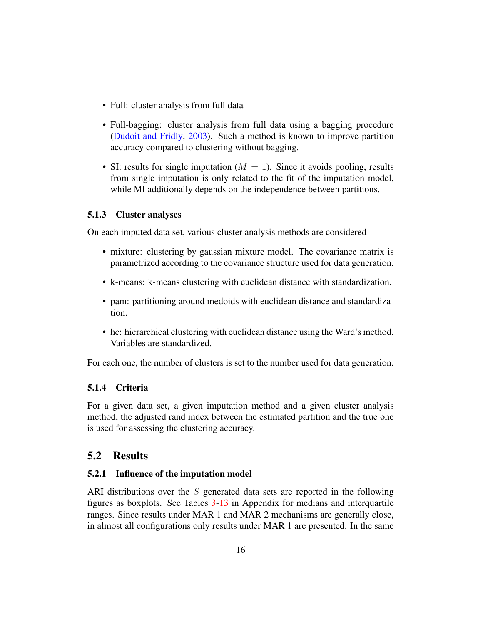- Full: cluster analysis from full data
- Full-bagging: cluster analysis from full data using a bagging procedure [\(Dudoit and Fridly,](#page-30-9) [2003\)](#page-30-9). Such a method is known to improve partition accuracy compared to clustering without bagging.
- SI: results for single imputation ( $M = 1$ ). Since it avoids pooling, results from single imputation is only related to the fit of the imputation model, while MI additionally depends on the independence between partitions.

### 5.1.3 Cluster analyses

On each imputed data set, various cluster analysis methods are considered

- mixture: clustering by gaussian mixture model. The covariance matrix is parametrized according to the covariance structure used for data generation.
- k-means: k-means clustering with euclidean distance with standardization.
- pam: partitioning around medoids with euclidean distance and standardization.
- hc: hierarchical clustering with euclidean distance using the Ward's method. Variables are standardized.

For each one, the number of clusters is set to the number used for data generation.

### 5.1.4 Criteria

For a given data set, a given imputation method and a given cluster analysis method, the adjusted rand index between the estimated partition and the true one is used for assessing the clustering accuracy.

## 5.2 Results

### 5.2.1 Influence of the imputation model

ARI distributions over the S generated data sets are reported in the following figures as boxplots. See Tables [3-](#page-39-0)[13](#page-44-0) in Appendix for medians and interquartile ranges. Since results under MAR 1 and MAR 2 mechanisms are generally close, in almost all configurations only results under MAR 1 are presented. In the same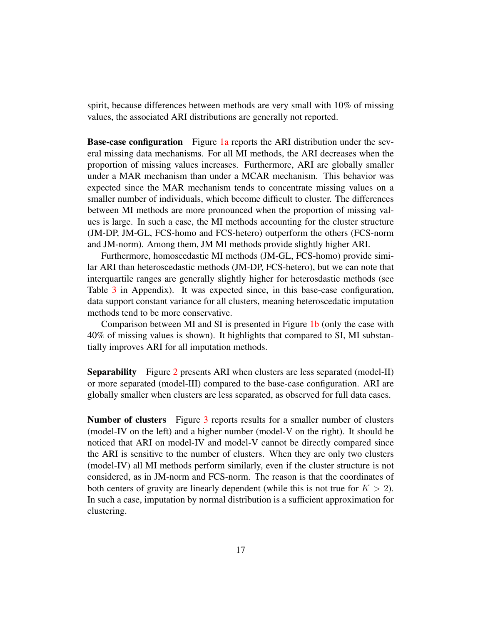spirit, because differences between methods are very small with 10% of missing values, the associated ARI distributions are generally not reported.

**Base-case configuration** Figure [1a](#page-17-0) reports the ARI distribution under the several missing data mechanisms. For all MI methods, the ARI decreases when the proportion of missing values increases. Furthermore, ARI are globally smaller under a MAR mechanism than under a MCAR mechanism. This behavior was expected since the MAR mechanism tends to concentrate missing values on a smaller number of individuals, which become difficult to cluster. The differences between MI methods are more pronounced when the proportion of missing values is large. In such a case, the MI methods accounting for the cluster structure (JM-DP, JM-GL, FCS-homo and FCS-hetero) outperform the others (FCS-norm and JM-norm). Among them, JM MI methods provide slightly higher ARI.

Furthermore, homoscedastic MI methods (JM-GL, FCS-homo) provide similar ARI than heteroscedastic methods (JM-DP, FCS-hetero), but we can note that interquartile ranges are generally slightly higher for heterosdastic methods (see Table [3](#page-39-0) in Appendix). It was expected since, in this base-case configuration, data support constant variance for all clusters, meaning heteroscedatic imputation methods tend to be more conservative.

Comparison between MI and SI is presented in Figure [1b](#page-17-0) (only the case with 40% of missing values is shown). It highlights that compared to SI, MI substantially improves ARI for all imputation methods.

Separability Figure [2](#page-18-0) presents ARI when clusters are less separated (model-II) or more separated (model-III) compared to the base-case configuration. ARI are globally smaller when clusters are less separated, as observed for full data cases.

Number of clusters Figure [3](#page-19-0) reports results for a smaller number of clusters (model-IV on the left) and a higher number (model-V on the right). It should be noticed that ARI on model-IV and model-V cannot be directly compared since the ARI is sensitive to the number of clusters. When they are only two clusters (model-IV) all MI methods perform similarly, even if the cluster structure is not considered, as in JM-norm and FCS-norm. The reason is that the coordinates of both centers of gravity are linearly dependent (while this is not true for  $K > 2$ ). In such a case, imputation by normal distribution is a sufficient approximation for clustering.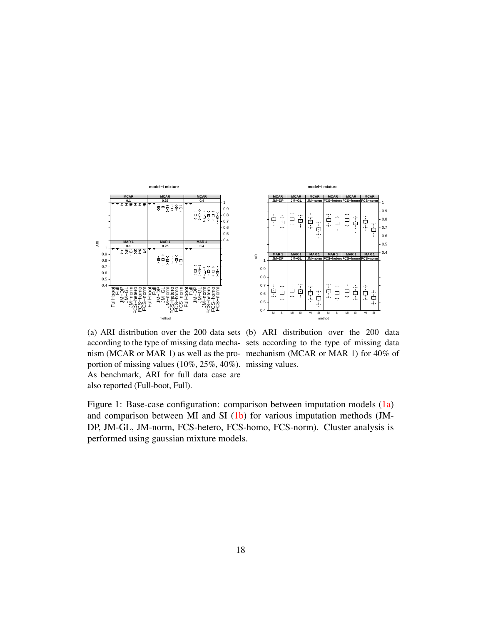<span id="page-17-0"></span>

according to the type of missing data mecha-sets according to the type of missing data nism (MCAR or MAR 1) as well as the pro-mechanism (MCAR or MAR 1) for 40% of portion of missing values (10%, 25%, 40%). missing values. As benchmark, ARI for full data case are also reported (Full-boot, Full).

(a) ARI distribution over the 200 data sets (b) ARI distribution over the 200 data

MI SI

Ġ

**FCS−norm MAR 1**

i.

吉里 ŧ

Ţф<br>|-

ě

 $0.4$ 0.5 0.6 0.7 0.8 0.9 <sup>1</sup> **FCS−norm MCAR**

Figure 1: Base-case configuration: comparison between imputation models [\(1a\)](#page-17-0) and comparison between MI and SI [\(1b\)](#page-17-0) for various imputation methods (JM-DP, JM-GL, JM-norm, FCS-hetero, FCS-homo, FCS-norm). Cluster analysis is performed using gaussian mixture models.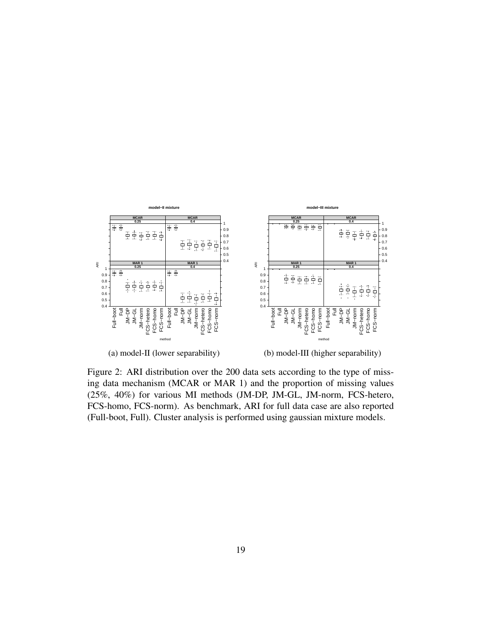<span id="page-18-0"></span>

Figure 2: ARI distribution over the 200 data sets according to the type of missing data mechanism (MCAR or MAR 1) and the proportion of missing values (25%, 40%) for various MI methods (JM-DP, JM-GL, JM-norm, FCS-hetero, FCS-homo, FCS-norm). As benchmark, ARI for full data case are also reported (Full-boot, Full). Cluster analysis is performed using gaussian mixture models.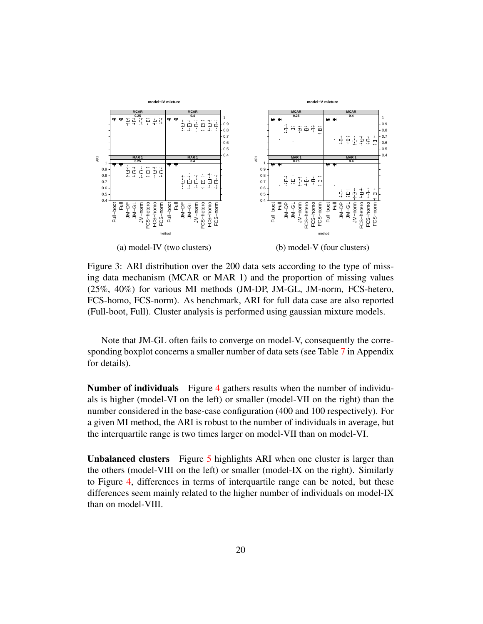<span id="page-19-0"></span>

Figure 3: ARI distribution over the 200 data sets according to the type of missing data mechanism (MCAR or MAR 1) and the proportion of missing values (25%, 40%) for various MI methods (JM-DP, JM-GL, JM-norm, FCS-hetero, FCS-homo, FCS-norm). As benchmark, ARI for full data case are also reported (Full-boot, Full). Cluster analysis is performed using gaussian mixture models.

Note that JM-GL often fails to converge on model-V, consequently the corresponding boxplot concerns a smaller number of data sets (see Table [7](#page-41-0) in Appendix for details).

Number of individuals Figure [4](#page-20-0) gathers results when the number of individuals is higher (model-VI on the left) or smaller (model-VII on the right) than the number considered in the base-case configuration (400 and 100 respectively). For a given MI method, the ARI is robust to the number of individuals in average, but the interquartile range is two times larger on model-VII than on model-VI.

Unbalanced clusters Figure [5](#page-21-0) highlights ARI when one cluster is larger than the others (model-VIII on the left) or smaller (model-IX on the right). Similarly to Figure [4,](#page-20-0) differences in terms of interquartile range can be noted, but these differences seem mainly related to the higher number of individuals on model-IX than on model-VIII.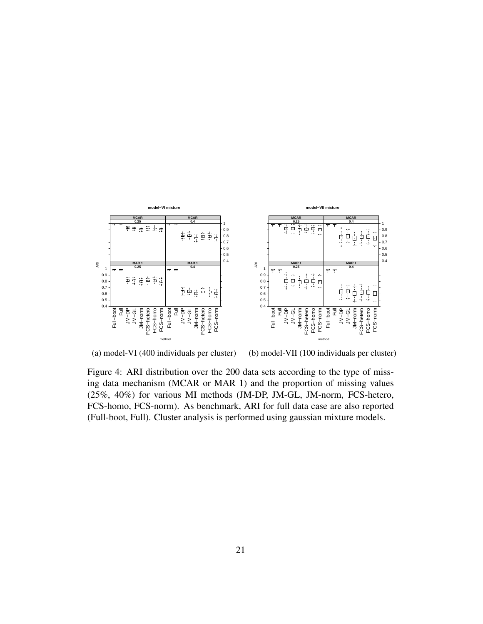<span id="page-20-0"></span>

(a) model-VI (400 individuals per cluster)

(b) model-VII (100 individuals per cluster)

Figure 4: ARI distribution over the 200 data sets according to the type of missing data mechanism (MCAR or MAR 1) and the proportion of missing values (25%, 40%) for various MI methods (JM-DP, JM-GL, JM-norm, FCS-hetero, FCS-homo, FCS-norm). As benchmark, ARI for full data case are also reported (Full-boot, Full). Cluster analysis is performed using gaussian mixture models.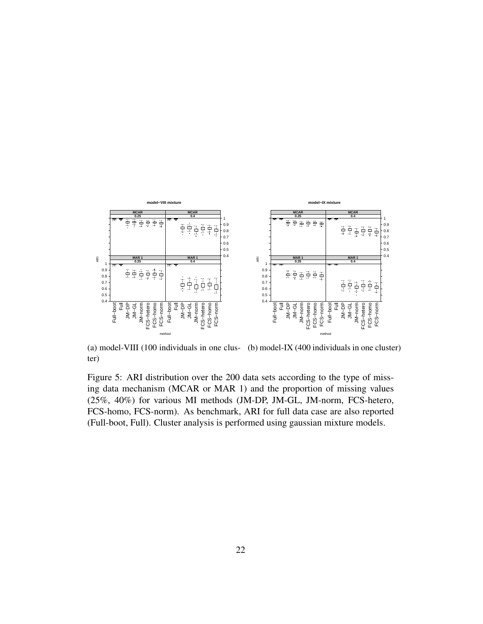<span id="page-21-0"></span>

(a) model-VIII (100 individuals in one clus-(b) model-IX (400 individuals in one cluster) ter)

Figure 5: ARI distribution over the 200 data sets according to the type of missing data mechanism (MCAR or MAR 1) and the proportion of missing values (25%, 40%) for various MI methods (JM-DP, JM-GL, JM-norm, FCS-hetero, FCS-homo, FCS-norm). As benchmark, ARI for full data case are also reported (Full-boot, Full). Cluster analysis is performed using gaussian mixture models.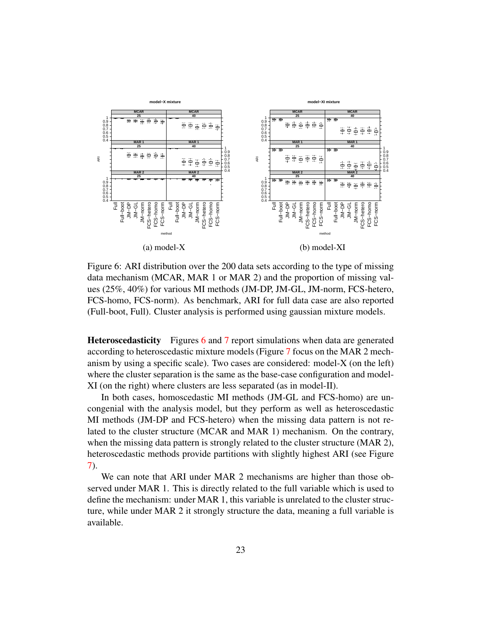<span id="page-22-0"></span>

Figure 6: ARI distribution over the 200 data sets according to the type of missing data mechanism (MCAR, MAR 1 or MAR 2) and the proportion of missing values (25%, 40%) for various MI methods (JM-DP, JM-GL, JM-norm, FCS-hetero, FCS-homo, FCS-norm). As benchmark, ARI for full data case are also reported (Full-boot, Full). Cluster analysis is performed using gaussian mixture models.

Heteroscedasticity Figures [6](#page-22-0) and [7](#page-23-0) report simulations when data are generated according to heteroscedastic mixture models (Figure [7](#page-23-0) focus on the MAR 2 mechanism by using a specific scale). Two cases are considered: model-X (on the left) where the cluster separation is the same as the base-case configuration and model-XI (on the right) where clusters are less separated (as in model-II).

In both cases, homoscedastic MI methods (JM-GL and FCS-homo) are uncongenial with the analysis model, but they perform as well as heteroscedastic MI methods (JM-DP and FCS-hetero) when the missing data pattern is not related to the cluster structure (MCAR and MAR 1) mechanism. On the contrary, when the missing data pattern is strongly related to the cluster structure (MAR 2), heteroscedastic methods provide partitions with slightly highest ARI (see Figure [7\)](#page-23-0).

We can note that ARI under MAR 2 mechanisms are higher than those observed under MAR 1. This is directly related to the full variable which is used to define the mechanism: under MAR 1, this variable is unrelated to the cluster structure, while under MAR 2 it strongly structure the data, meaning a full variable is available.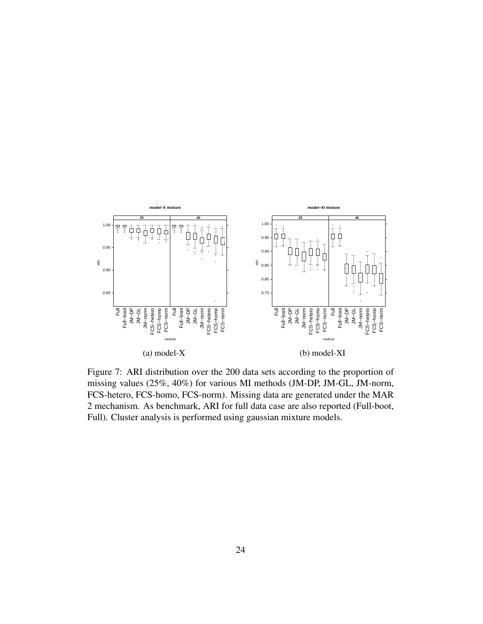<span id="page-23-0"></span>

Figure 7: ARI distribution over the 200 data sets according to the proportion of missing values (25%, 40%) for various MI methods (JM-DP, JM-GL, JM-norm, FCS-hetero, FCS-homo, FCS-norm). Missing data are generated under the MAR 2 mechanism. As benchmark, ARI for full data case are also reported (Full-boot, Full). Cluster analysis is performed using gaussian mixture models.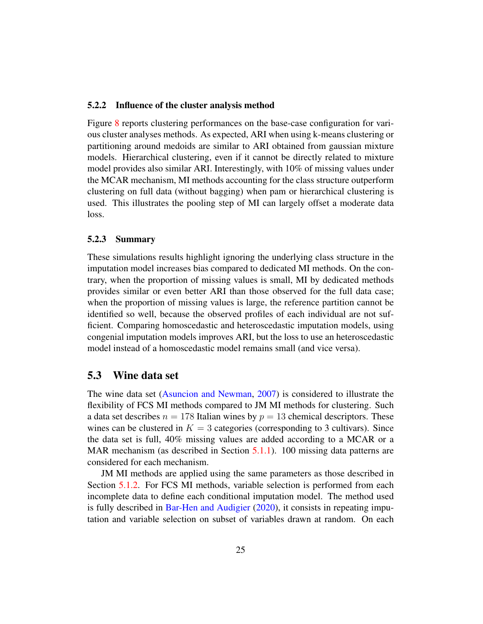#### 5.2.2 Influence of the cluster analysis method

Figure [8](#page-25-0) reports clustering performances on the base-case configuration for various cluster analyses methods. As expected, ARI when using k-means clustering or partitioning around medoids are similar to ARI obtained from gaussian mixture models. Hierarchical clustering, even if it cannot be directly related to mixture model provides also similar ARI. Interestingly, with 10% of missing values under the MCAR mechanism, MI methods accounting for the class structure outperform clustering on full data (without bagging) when pam or hierarchical clustering is used. This illustrates the pooling step of MI can largely offset a moderate data loss.

#### 5.2.3 Summary

These simulations results highlight ignoring the underlying class structure in the imputation model increases bias compared to dedicated MI methods. On the contrary, when the proportion of missing values is small, MI by dedicated methods provides similar or even better ARI than those observed for the full data case; when the proportion of missing values is large, the reference partition cannot be identified so well, because the observed profiles of each individual are not sufficient. Comparing homoscedastic and heteroscedastic imputation models, using congenial imputation models improves ARI, but the loss to use an heteroscedastic model instead of a homoscedastic model remains small (and vice versa).

## 5.3 Wine data set

The wine data set [\(Asuncion and Newman,](#page-33-4) [2007\)](#page-33-4) is considered to illustrate the flexibility of FCS MI methods compared to JM MI methods for clustering. Such a data set describes  $n = 178$  Italian wines by  $p = 13$  chemical descriptors. These wines can be clustered in  $K = 3$  categories (corresponding to 3 cultivars). Since the data set is full, 40% missing values are added according to a MCAR or a MAR mechanism (as described in Section [5.1.1\)](#page-13-0). 100 missing data patterns are considered for each mechanism.

JM MI methods are applied using the same parameters as those described in Section [5.1.2.](#page-14-0) For FCS MI methods, variable selection is performed from each incomplete data to define each conditional imputation model. The method used is fully described in [Bar-Hen and Audigier](#page-33-5) [\(2020\)](#page-33-5), it consists in repeating imputation and variable selection on subset of variables drawn at random. On each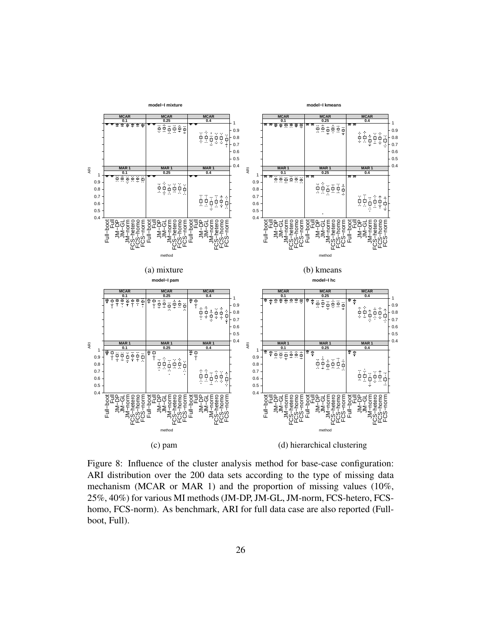<span id="page-25-0"></span>

Figure 8: Influence of the cluster analysis method for base-case configuration: ARI distribution over the 200 data sets according to the type of missing data mechanism (MCAR or MAR 1) and the proportion of missing values (10%, 25%, 40%) for various MI methods (JM-DP, JM-GL, JM-norm, FCS-hetero, FCShomo, FCS-norm). As benchmark, ARI for full data case are also reported (Fullboot, Full).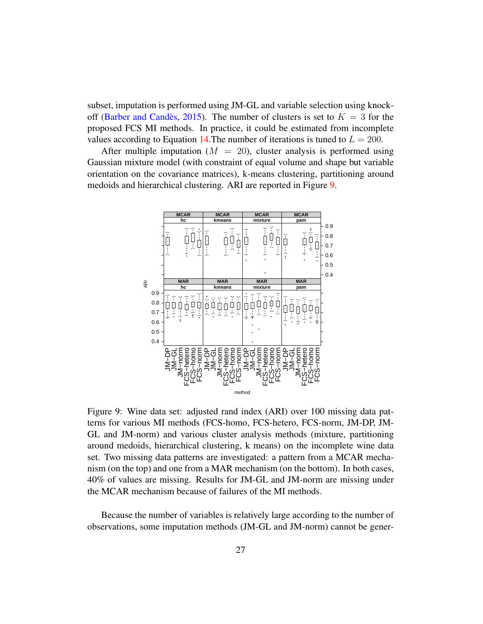subset, imputation is performed using JM-GL and variable selection using knock-off (Barber and Candès, [2015\)](#page-33-6). The number of clusters is set to  $K = 3$  for the proposed FCS MI methods. In practice, it could be estimated from incomplete values according to Equation [14.](#page-11-4) The number of iterations is tuned to  $L = 200$ .

After multiple imputation ( $M = 20$ ), cluster analysis is performed using Gaussian mixture model (with constraint of equal volume and shape but variable orientation on the covariance matrices), k-means clustering, partitioning around medoids and hierarchical clustering. ARI are reported in Figure [9.](#page-26-0)

<span id="page-26-0"></span>

Figure 9: Wine data set: adjusted rand index (ARI) over 100 missing data patterns for various MI methods (FCS-homo, FCS-hetero, FCS-norm, JM-DP, JM-GL and JM-norm) and various cluster analysis methods (mixture, partitioning around medoids, hierarchical clustering, k means) on the incomplete wine data set. Two missing data patterns are investigated: a pattern from a MCAR mechanism (on the top) and one from a MAR mechanism (on the bottom). In both cases, 40% of values are missing. Results for JM-GL and JM-norm are missing under the MCAR mechanism because of failures of the MI methods.

Because the number of variables is relatively large according to the number of observations, some imputation methods (JM-GL and JM-norm) cannot be gener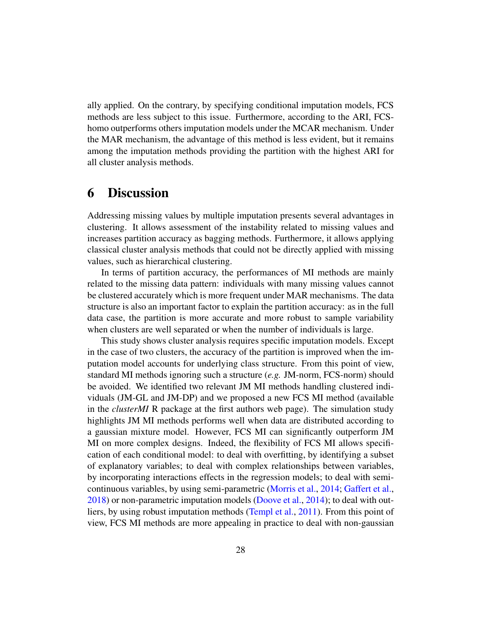ally applied. On the contrary, by specifying conditional imputation models, FCS methods are less subject to this issue. Furthermore, according to the ARI, FCShomo outperforms others imputation models under the MCAR mechanism. Under the MAR mechanism, the advantage of this method is less evident, but it remains among the imputation methods providing the partition with the highest ARI for all cluster analysis methods.

## <span id="page-27-0"></span>6 Discussion

Addressing missing values by multiple imputation presents several advantages in clustering. It allows assessment of the instability related to missing values and increases partition accuracy as bagging methods. Furthermore, it allows applying classical cluster analysis methods that could not be directly applied with missing values, such as hierarchical clustering.

In terms of partition accuracy, the performances of MI methods are mainly related to the missing data pattern: individuals with many missing values cannot be clustered accurately which is more frequent under MAR mechanisms. The data structure is also an important factor to explain the partition accuracy: as in the full data case, the partition is more accurate and more robust to sample variability when clusters are well separated or when the number of individuals is large.

This study shows cluster analysis requires specific imputation models. Except in the case of two clusters, the accuracy of the partition is improved when the imputation model accounts for underlying class structure. From this point of view, standard MI methods ignoring such a structure (*e.g.* JM-norm, FCS-norm) should be avoided. We identified two relevant JM MI methods handling clustered individuals (JM-GL and JM-DP) and we proposed a new FCS MI method (available in the *clusterMI* R package at the first authors web page). The simulation study highlights JM MI methods performs well when data are distributed according to a gaussian mixture model. However, FCS MI can significantly outperform JM MI on more complex designs. Indeed, the flexibility of FCS MI allows specification of each conditional model: to deal with overfitting, by identifying a subset of explanatory variables; to deal with complex relationships between variables, by incorporating interactions effects in the regression models; to deal with semicontinuous variables, by using semi-parametric [\(Morris et al.,](#page-33-1) [2014;](#page-33-1) [Gaffert et al.,](#page-33-2) [2018\)](#page-33-2) or non-parametric imputation models [\(Doove et al.,](#page-33-0) [2014\)](#page-33-0); to deal with outliers, by using robust imputation methods [\(Templ et al.,](#page-33-7) [2011\)](#page-33-7). From this point of view, FCS MI methods are more appealing in practice to deal with non-gaussian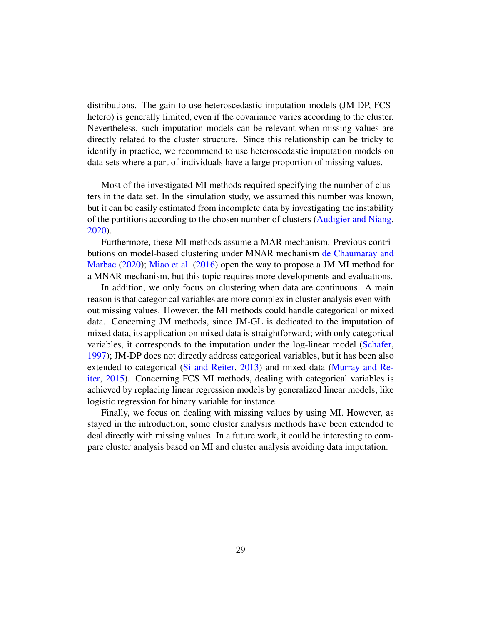distributions. The gain to use heteroscedastic imputation models (JM-DP, FCShetero) is generally limited, even if the covariance varies according to the cluster. Nevertheless, such imputation models can be relevant when missing values are directly related to the cluster structure. Since this relationship can be tricky to identify in practice, we recommend to use heteroscedastic imputation models on data sets where a part of individuals have a large proportion of missing values.

Most of the investigated MI methods required specifying the number of clusters in the data set. In the simulation study, we assumed this number was known, but it can be easily estimated from incomplete data by investigating the instability of the partitions according to the chosen number of clusters [\(Audigier and Niang,](#page-30-8) [2020\)](#page-30-8).

Furthermore, these MI methods assume a MAR mechanism. Previous contributions on model-based clustering under MNAR mechanism [de Chaumaray and](#page-29-6) [Marbac](#page-29-6) [\(2020\)](#page-29-6); [Miao et al.](#page-29-5) [\(2016\)](#page-29-5) open the way to propose a JM MI method for a MNAR mechanism, but this topic requires more developments and evaluations.

In addition, we only focus on clustering when data are continuous. A main reason is that categorical variables are more complex in cluster analysis even without missing values. However, the MI methods could handle categorical or mixed data. Concerning JM methods, since JM-GL is dedicated to the imputation of mixed data, its application on mixed data is straightforward; with only categorical variables, it corresponds to the imputation under the log-linear model [\(Schafer,](#page-31-1) [1997\)](#page-31-1); JM-DP does not directly address categorical variables, but it has been also extended to categorical [\(Si and Reiter,](#page-33-8) [2013\)](#page-33-8) and mixed data [\(Murray and Re](#page-33-9)[iter,](#page-33-9) [2015\)](#page-33-9). Concerning FCS MI methods, dealing with categorical variables is achieved by replacing linear regression models by generalized linear models, like logistic regression for binary variable for instance.

Finally, we focus on dealing with missing values by using MI. However, as stayed in the introduction, some cluster analysis methods have been extended to deal directly with missing values. In a future work, it could be interesting to compare cluster analysis based on MI and cluster analysis avoiding data imputation.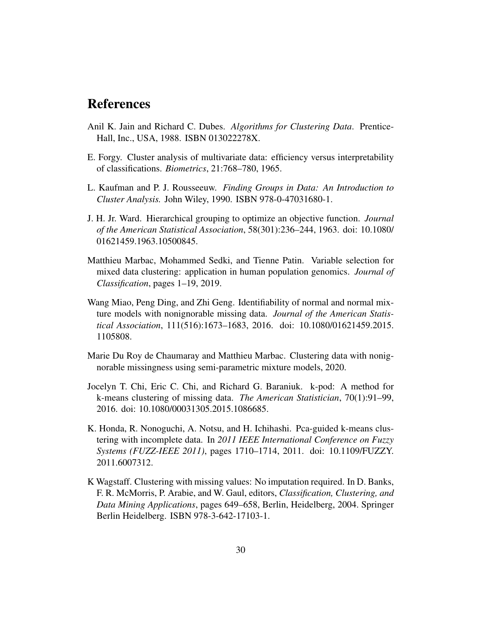## References

- <span id="page-29-0"></span>Anil K. Jain and Richard C. Dubes. *Algorithms for Clustering Data*. Prentice-Hall, Inc., USA, 1988. ISBN 013022278X.
- <span id="page-29-1"></span>E. Forgy. Cluster analysis of multivariate data: efficiency versus interpretability of classifications. *Biometrics*, 21:768–780, 1965.
- <span id="page-29-2"></span>L. Kaufman and P. J. Rousseeuw. *Finding Groups in Data: An Introduction to Cluster Analysis.* John Wiley, 1990. ISBN 978-0-47031680-1.
- <span id="page-29-3"></span>J. H. Jr. Ward. Hierarchical grouping to optimize an objective function. *Journal of the American Statistical Association*, 58(301):236–244, 1963. doi: 10.1080/ 01621459.1963.10500845.
- <span id="page-29-4"></span>Matthieu Marbac, Mohammed Sedki, and Tienne Patin. Variable selection for mixed data clustering: application in human population genomics. *Journal of Classification*, pages 1–19, 2019.
- <span id="page-29-5"></span>Wang Miao, Peng Ding, and Zhi Geng. Identifiability of normal and normal mixture models with nonignorable missing data. *Journal of the American Statistical Association*, 111(516):1673–1683, 2016. doi: 10.1080/01621459.2015. 1105808.
- <span id="page-29-6"></span>Marie Du Roy de Chaumaray and Matthieu Marbac. Clustering data with nonignorable missingness using semi-parametric mixture models, 2020.
- <span id="page-29-7"></span>Jocelyn T. Chi, Eric C. Chi, and Richard G. Baraniuk. k-pod: A method for k-means clustering of missing data. *The American Statistician*, 70(1):91–99, 2016. doi: 10.1080/00031305.2015.1086685.
- <span id="page-29-8"></span>K. Honda, R. Nonoguchi, A. Notsu, and H. Ichihashi. Pca-guided k-means clustering with incomplete data. In *2011 IEEE International Conference on Fuzzy Systems (FUZZ-IEEE 2011)*, pages 1710–1714, 2011. doi: 10.1109/FUZZY. 2011.6007312.
- <span id="page-29-9"></span>K Wagstaff. Clustering with missing values: No imputation required. In D. Banks, F. R. McMorris, P. Arabie, and W. Gaul, editors, *Classification, Clustering, and Data Mining Applications*, pages 649–658, Berlin, Heidelberg, 2004. Springer Berlin Heidelberg. ISBN 978-3-642-17103-1.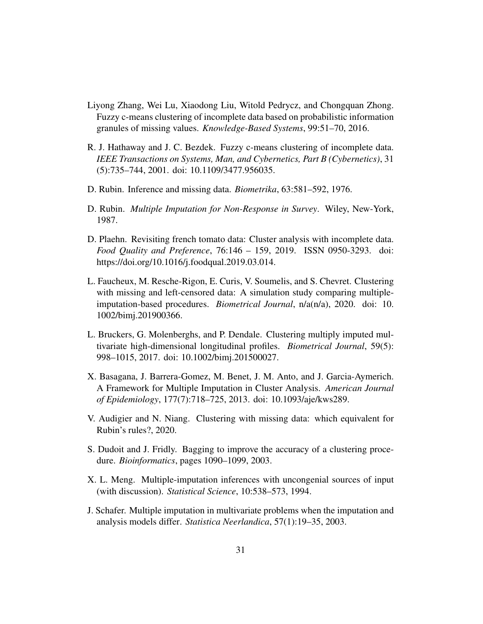- <span id="page-30-0"></span>Liyong Zhang, Wei Lu, Xiaodong Liu, Witold Pedrycz, and Chongquan Zhong. Fuzzy c-means clustering of incomplete data based on probabilistic information granules of missing values. *Knowledge-Based Systems*, 99:51–70, 2016.
- <span id="page-30-1"></span>R. J. Hathaway and J. C. Bezdek. Fuzzy c-means clustering of incomplete data. *IEEE Transactions on Systems, Man, and Cybernetics, Part B (Cybernetics)*, 31 (5):735–744, 2001. doi: 10.1109/3477.956035.
- <span id="page-30-2"></span>D. Rubin. Inference and missing data. *Biometrika*, 63:581–592, 1976.
- <span id="page-30-3"></span>D. Rubin. *Multiple Imputation for Non-Response in Survey*. Wiley, New-York, 1987.
- <span id="page-30-4"></span>D. Plaehn. Revisiting french tomato data: Cluster analysis with incomplete data. *Food Quality and Preference*, 76:146 – 159, 2019. ISSN 0950-3293. doi: https://doi.org/10.1016/j.foodqual.2019.03.014.
- <span id="page-30-5"></span>L. Faucheux, M. Resche-Rigon, E. Curis, V. Soumelis, and S. Chevret. Clustering with missing and left-censored data: A simulation study comparing multipleimputation-based procedures. *Biometrical Journal*, n/a(n/a), 2020. doi: 10. 1002/bimj.201900366.
- <span id="page-30-6"></span>L. Bruckers, G. Molenberghs, and P. Dendale. Clustering multiply imputed multivariate high-dimensional longitudinal profiles. *Biometrical Journal*, 59(5): 998–1015, 2017. doi: 10.1002/bimj.201500027.
- <span id="page-30-7"></span>X. Basagana, J. Barrera-Gomez, M. Benet, J. M. Anto, and J. Garcia-Aymerich. A Framework for Multiple Imputation in Cluster Analysis. *American Journal of Epidemiology*, 177(7):718–725, 2013. doi: 10.1093/aje/kws289.
- <span id="page-30-8"></span>V. Audigier and N. Niang. Clustering with missing data: which equivalent for Rubin's rules?, 2020.
- <span id="page-30-9"></span>S. Dudoit and J. Fridly. Bagging to improve the accuracy of a clustering procedure. *Bioinformatics*, pages 1090–1099, 2003.
- <span id="page-30-10"></span>X. L. Meng. Multiple-imputation inferences with uncongenial sources of input (with discussion). *Statistical Science*, 10:538–573, 1994.
- <span id="page-30-11"></span>J. Schafer. Multiple imputation in multivariate problems when the imputation and analysis models differ. *Statistica Neerlandica*, 57(1):19–35, 2003.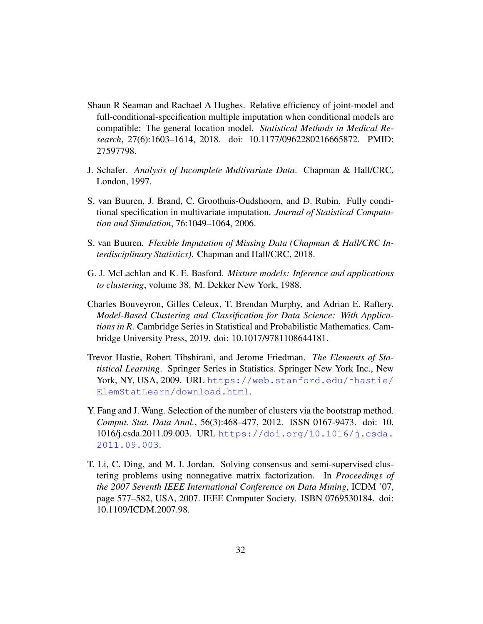- <span id="page-31-0"></span>Shaun R Seaman and Rachael A Hughes. Relative efficiency of joint-model and full-conditional-specification multiple imputation when conditional models are compatible: The general location model. *Statistical Methods in Medical Research*, 27(6):1603–1614, 2018. doi: 10.1177/0962280216665872. PMID: 27597798.
- <span id="page-31-1"></span>J. Schafer. *Analysis of Incomplete Multivariate Data*. Chapman & Hall/CRC, London, 1997.
- <span id="page-31-2"></span>S. van Buuren, J. Brand, C. Groothuis-Oudshoorn, and D. Rubin. Fully conditional specification in multivariate imputation. *Journal of Statistical Computation and Simulation*, 76:1049–1064, 2006.
- <span id="page-31-3"></span>S. van Buuren. *Flexible Imputation of Missing Data (Chapman & Hall/CRC Interdisciplinary Statistics)*. Chapman and Hall/CRC, 2018.
- <span id="page-31-4"></span>G. J. McLachlan and K. E. Basford. *Mixture models: Inference and applications to clustering*, volume 38. M. Dekker New York, 1988.
- <span id="page-31-5"></span>Charles Bouveyron, Gilles Celeux, T. Brendan Murphy, and Adrian E. Raftery. *Model-Based Clustering and Classification for Data Science: With Applications in R*. Cambridge Series in Statistical and Probabilistic Mathematics. Cambridge University Press, 2019. doi: 10.1017/9781108644181.
- <span id="page-31-6"></span>Trevor Hastie, Robert Tibshirani, and Jerome Friedman. *The Elements of Statistical Learning*. Springer Series in Statistics. Springer New York Inc., New York, NY, USA, 2009. URL https://web.stanford.edu/~hastie/ [ElemStatLearn/download.html](https://web.stanford.edu/~hastie/ElemStatLearn/download.html).
- <span id="page-31-7"></span>Y. Fang and J. Wang. Selection of the number of clusters via the bootstrap method. *Comput. Stat. Data Anal.*, 56(3):468–477, 2012. ISSN 0167-9473. doi: 10. 1016/j.csda.2011.09.003. URL [https://doi.org/10.1016/j.csda.](https://doi.org/10.1016/j.csda.2011.09.003) [2011.09.003](https://doi.org/10.1016/j.csda.2011.09.003).
- <span id="page-31-8"></span>T. Li, C. Ding, and M. I. Jordan. Solving consensus and semi-supervised clustering problems using nonnegative matrix factorization. In *Proceedings of the 2007 Seventh IEEE International Conference on Data Mining*, ICDM '07, page 577–582, USA, 2007. IEEE Computer Society. ISBN 0769530184. doi: 10.1109/ICDM.2007.98.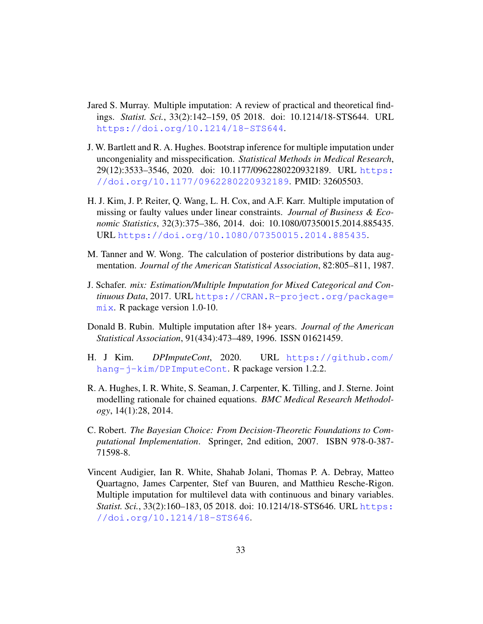- <span id="page-32-0"></span>Jared S. Murray. Multiple imputation: A review of practical and theoretical findings. *Statist. Sci.*, 33(2):142–159, 05 2018. doi: 10.1214/18-STS644. URL <https://doi.org/10.1214/18-STS644>.
- <span id="page-32-1"></span>J. W. Bartlett and R. A. Hughes. Bootstrap inference for multiple imputation under uncongeniality and misspecification. *Statistical Methods in Medical Research*, 29(12):3533–3546, 2020. doi: 10.1177/0962280220932189. URL [https:](https://doi.org/10.1177/0962280220932189) [//doi.org/10.1177/0962280220932189](https://doi.org/10.1177/0962280220932189). PMID: 32605503.
- <span id="page-32-2"></span>H. J. Kim, J. P. Reiter, Q. Wang, L. H. Cox, and A.F. Karr. Multiple imputation of missing or faulty values under linear constraints. *Journal of Business & Economic Statistics*, 32(3):375–386, 2014. doi: 10.1080/07350015.2014.885435. URL <https://doi.org/10.1080/07350015.2014.885435>.
- <span id="page-32-3"></span>M. Tanner and W. Wong. The calculation of posterior distributions by data augmentation. *Journal of the American Statistical Association*, 82:805–811, 1987.
- <span id="page-32-4"></span>J. Schafer. *mix: Estimation/Multiple Imputation for Mixed Categorical and Continuous Data*, 2017. URL [https://CRAN.R-project.org/package=](https://CRAN.R-project.org/package=mix) [mix](https://CRAN.R-project.org/package=mix). R package version 1.0-10.
- <span id="page-32-5"></span>Donald B. Rubin. Multiple imputation after 18+ years. *Journal of the American Statistical Association*, 91(434):473–489, 1996. ISSN 01621459.
- <span id="page-32-6"></span>H. J Kim. *DPImputeCont*, 2020. URL [https://github.com/](https://github.com/hang-j-kim/DPImputeCont) [hang-j-kim/DPImputeCont](https://github.com/hang-j-kim/DPImputeCont). R package version 1.2.2.
- <span id="page-32-7"></span>R. A. Hughes, I. R. White, S. Seaman, J. Carpenter, K. Tilling, and J. Sterne. Joint modelling rationale for chained equations. *BMC Medical Research Methodology*, 14(1):28, 2014.
- <span id="page-32-8"></span>C. Robert. *The Bayesian Choice: From Decision-Theoretic Foundations to Computational Implementation*. Springer, 2nd edition, 2007. ISBN 978-0-387- 71598-8.
- <span id="page-32-9"></span>Vincent Audigier, Ian R. White, Shahab Jolani, Thomas P. A. Debray, Matteo Quartagno, James Carpenter, Stef van Buuren, and Matthieu Resche-Rigon. Multiple imputation for multilevel data with continuous and binary variables. *Statist. Sci.*, 33(2):160–183, 05 2018. doi: 10.1214/18-STS646. URL [https:](https://doi.org/10.1214/18-STS646) [//doi.org/10.1214/18-STS646](https://doi.org/10.1214/18-STS646).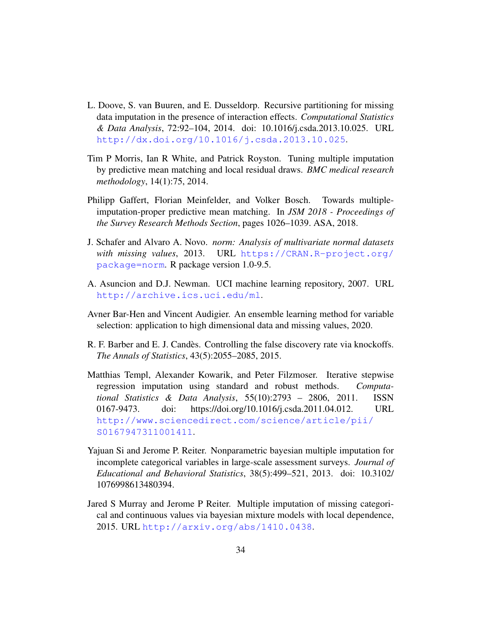- <span id="page-33-0"></span>L. Doove, S. van Buuren, and E. Dusseldorp. Recursive partitioning for missing data imputation in the presence of interaction effects. *Computational Statistics & Data Analysis*, 72:92–104, 2014. doi: 10.1016/j.csda.2013.10.025. URL <http://dx.doi.org/10.1016/j.csda.2013.10.025>.
- <span id="page-33-1"></span>Tim P Morris, Ian R White, and Patrick Royston. Tuning multiple imputation by predictive mean matching and local residual draws. *BMC medical research methodology*, 14(1):75, 2014.
- <span id="page-33-2"></span>Philipp Gaffert, Florian Meinfelder, and Volker Bosch. Towards multipleimputation-proper predictive mean matching. In *JSM 2018 - Proceedings of the Survey Research Methods Section*, pages 1026–1039. ASA, 2018.
- <span id="page-33-3"></span>J. Schafer and Alvaro A. Novo. *norm: Analysis of multivariate normal datasets with missing values*, 2013. URL [https://CRAN.R-project.org/](https://CRAN.R-project.org/package=norm) [package=norm](https://CRAN.R-project.org/package=norm). R package version 1.0-9.5.
- <span id="page-33-4"></span>A. Asuncion and D.J. Newman. UCI machine learning repository, 2007. URL <http://archive.ics.uci.edu/ml>.
- <span id="page-33-5"></span>Avner Bar-Hen and Vincent Audigier. An ensemble learning method for variable selection: application to high dimensional data and missing values, 2020.
- <span id="page-33-6"></span>R. F. Barber and E. J. Candès. Controlling the false discovery rate via knockoffs. *The Annals of Statistics*, 43(5):2055–2085, 2015.
- <span id="page-33-7"></span>Matthias Templ, Alexander Kowarik, and Peter Filzmoser. Iterative stepwise regression imputation using standard and robust methods. *Computational Statistics & Data Analysis*, 55(10):2793 – 2806, 2011. ISSN 0167-9473. doi: https://doi.org/10.1016/j.csda.2011.04.012. URL [http://www.sciencedirect.com/science/article/pii/](http://www.sciencedirect.com/science/article/pii/S0167947311001411) [S0167947311001411](http://www.sciencedirect.com/science/article/pii/S0167947311001411).
- <span id="page-33-8"></span>Yajuan Si and Jerome P. Reiter. Nonparametric bayesian multiple imputation for incomplete categorical variables in large-scale assessment surveys. *Journal of Educational and Behavioral Statistics*, 38(5):499–521, 2013. doi: 10.3102/ 1076998613480394.
- <span id="page-33-9"></span>Jared S Murray and Jerome P Reiter. Multiple imputation of missing categorical and continuous values via bayesian mixture models with local dependence, 2015. URL <http://arxiv.org/abs/1410.0438>.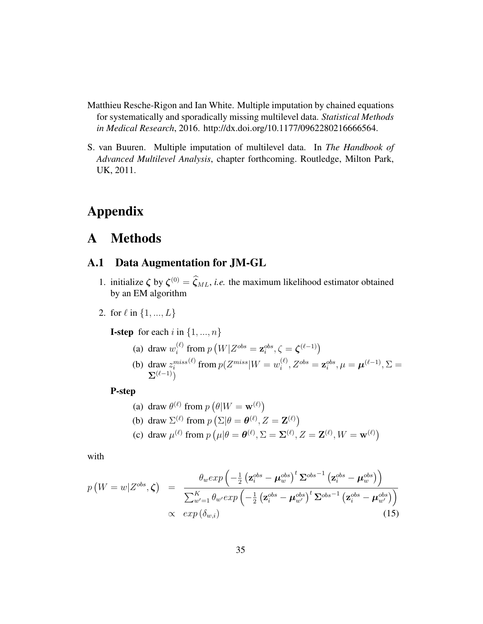- <span id="page-34-1"></span>Matthieu Resche-Rigon and Ian White. Multiple imputation by chained equations for systematically and sporadically missing multilevel data. *Statistical Methods in Medical Research*, 2016. http://dx.doi.org/10.1177/0962280216666564.
- <span id="page-34-2"></span>S. van Buuren. Multiple imputation of multilevel data. In *The Handbook of Advanced Multilevel Analysis*, chapter forthcoming. Routledge, Milton Park, UK, 2011.

## Appendix

## A Methods

## <span id="page-34-0"></span>A.1 Data Augmentation for JM-GL

- 1. initialize  $\zeta$  by  $\zeta^{(0)} = \zeta_{ML}$ , *i.e.* the maximum likelihood estimator obtained by an EM algorithm
- 2. for  $\ell$  in  $\{1, ..., L\}$

**I-step** for each i in  $\{1, ..., n\}$ 

(a) draw 
$$
w_i^{(\ell)}
$$
 from  $p(W|Z^{obs} = \mathbf{z}_i^{obs}, \zeta = \zeta^{(\ell-1)})$   
\n(b) draw  $z_i^{miss^{(\ell)}}$  from  $p(Z^{miss}|W = w_i^{(\ell)}, Z^{obs} = \mathbf{z}_i^{obs}, \mu = \boldsymbol{\mu}^{(\ell-1)}, \Sigma = \sum_{i=1}^{(\ell-1)} p_i$ 

P-step

(a) draw 
$$
\theta^{(\ell)}
$$
 from  $p(\theta|W = \mathbf{w}^{(\ell)})$   
\n(b) draw  $\Sigma^{(\ell)}$  from  $p(\Sigma|\theta = \theta^{(\ell)}, Z = \mathbf{Z}^{(\ell)})$   
\n(c) draw  $\mu^{(\ell)}$  from  $p(\mu|\theta = \theta^{(\ell)}, \Sigma = \Sigma^{(\ell)}, Z = \mathbf{Z}^{(\ell)}, W = \mathbf{w}^{(\ell)})$ 

with

$$
p\left(W = w | Z^{obs}, \zeta\right) = \frac{\theta_w exp\left(-\frac{1}{2}\left(\mathbf{z}_i^{obs} - \boldsymbol{\mu}_w^{obs}\right)^t \boldsymbol{\Sigma}^{obs^{-1}}\left(\mathbf{z}_i^{obs} - \boldsymbol{\mu}_w^{obs}\right)\right)}{\sum_{w'=1}^K \theta_{w'} exp\left(-\frac{1}{2}\left(\mathbf{z}_i^{obs} - \boldsymbol{\mu}_{w'}^{obs}\right)^t \boldsymbol{\Sigma}^{obs^{-1}}\left(\mathbf{z}_i^{obs} - \boldsymbol{\mu}_{w'}^{obs}\right)\right)}\n\times exp\left(\delta_{w,i}\right) \tag{15}
$$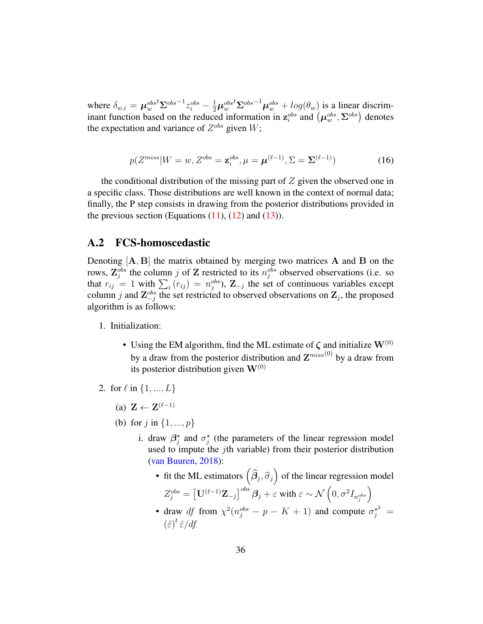where  $\delta_{w,i} = \mu_{w}^{obs} \Sigma^{obs^{-1}} z_i^{obs} - \frac{1}{2} \mu_{w}^{obs} \Sigma^{obs^{-1}} \mu_{w}^{obs} + log(\theta_w)$  is a linear discriminant function based on the reduced information in  $\mathbf{z}_i^{obs}$  and  $(\boldsymbol{\mu}_w^{obs}, \boldsymbol{\Sigma}^{obs})$  denotes the expectation and variance of  $Z^{obs}$  given  $W$ ;

$$
p(Z^{miss}|W=w,Z^{obs}=\mathbf{z}_i^{obs}, \mu=\boldsymbol{\mu}^{(\ell-1)}, \Sigma=\boldsymbol{\Sigma}^{(\ell-1)})
$$
(16)

the conditional distribution of the missing part of  $Z$  given the observed one in a specific class. Those distributions are well known in the context of normal data; finally, the P step consists in drawing from the posterior distributions provided in the previous section (Equations  $(11)$ ,  $(12)$  and  $(13)$ ).

### <span id="page-35-0"></span>A.2 FCS-homoscedastic

Denoting  $[A, B]$  the matrix obtained by merging two matrices A and B on the rows,  $\mathbb{Z}_j^{obs}$  the column j of Z restricted to its  $n_j^{obs}$  observed observations (i.e. so that  $r_{ij} = 1$  with  $\sum_i (r_{ij}) = n_j^{obs}$ ,  $\mathbf{Z}_{-j}$  the set of continuous variables except column j and  $\mathbb{Z}_{-j}^{obs}$  the set restricted to observed observations on  $\mathbb{Z}_j$ , the proposed algorithm is as follows:

- 1. Initialization:
	- Using the EM algorithm, find the ML estimate of  $\zeta$  and initialize  $W^{(0)}$ by a draw from the posterior distribution and  $\mathbf{Z}^{miss(0)}$  by a draw from its posterior distribution given  $W^{(0)}$
- 2. for  $\ell$  in  $\{1, ..., L\}$ 
	- (a)  $\mathbf{Z} \leftarrow \mathbf{Z}^{(\ell-1)}$
	- (b) for  $j$  in  $\{1, ..., p\}$ 
		- i. draw  $\beta_j^*$  and  $\sigma_j^*$  (the parameters of the linear regression model used to impute the jth variable) from their posterior distribution [\(van Buuren,](#page-31-3) [2018\)](#page-31-3):
			- fit the ML estimators  $(\widehat{\beta}_j, \widehat{\sigma}_j)$  of the linear regression model  $Z_{j}^{obs}=\left[\mathbf{U}^{(\ell-1)}\mathbf{Z}_{-j}\right]^{obs}\boldsymbol{\beta}_{j}+\varepsilon\text{ with }\varepsilon\sim\mathcal{N}\left(0,\sigma^{2}I_{n_{j}^{obs}}\right)$  $\setminus$
			- draw df from  $\chi^2(n_j^{obs} p K + 1)$  and compute  $\sigma_j^{\star^2} =$  $(\hat{\varepsilon})^t \hat{\varepsilon} / df$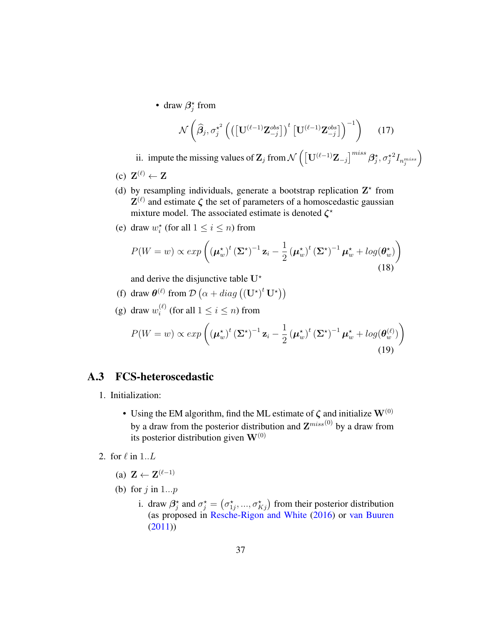• draw  $\beta_j^*$  from

$$
\mathcal{N}\left(\widehat{\boldsymbol{\beta}}_j, \sigma_j^{\star^2} \left( \left( \left[ \mathbf{U}^{(\ell-1)} \mathbf{Z}_{-j}^{obs} \right] \right)^t \left[ \mathbf{U}^{(\ell-1)} \mathbf{Z}_{-j}^{obs} \right] \right)^{-1} \right) \tag{17}
$$

ii. impute the missing values of  $\mathbf{Z}_j$  from  $\mathcal{N}\left(\left[\mathbf{U}^{(\ell-1)}\mathbf{Z}_{-j}\right]^{miss}\boldsymbol{\beta}_j^{\star},\sigma_j^{\star 2}I_{n_j^{miss}}\right]$  $\setminus$ 

- (c)  $\mathbf{Z}^{(\ell)} \leftarrow \mathbf{Z}$
- (d) by resampling individuals, generate a bootstrap replication  $Z^*$  from  $\mathbf{Z}^{(\ell)}$  and estimate  $\zeta$  the set of parameters of a homoscedastic gaussian mixture model. The associated estimate is denoted  $\zeta^*$
- (e) draw  $w_i^*$  (for all  $1 \le i \le n$ ) from

$$
P(W = w) \propto exp\left((\boldsymbol{\mu}_{w}^{\star})^{t} (\boldsymbol{\Sigma}^{\star})^{-1} \mathbf{z}_{i} - \frac{1}{2} (\boldsymbol{\mu}_{w}^{\star})^{t} (\boldsymbol{\Sigma}^{\star})^{-1} \boldsymbol{\mu}_{w}^{\star} + log(\boldsymbol{\theta}_{w}^{\star})\right)
$$
\n(18)

and derive the disjunctive table  $U^*$ 

- (f) draw  $\theta^{(\ell)}$  from  $\mathcal{D}(\alpha + diag((\mathbf{U}^{\star})^t \mathbf{U}^{\star}))$
- (g) draw  $w_i^{(\ell)}$  $i^{(k)}$  (for all  $1 \leq i \leq n$ ) from

$$
P(W = w) \propto exp\left((\boldsymbol{\mu}_{w}^{\star})^{t} (\boldsymbol{\Sigma}^{\star})^{-1} \mathbf{z}_{i} - \frac{1}{2} (\boldsymbol{\mu}_{w}^{\star})^{t} (\boldsymbol{\Sigma}^{\star})^{-1} \boldsymbol{\mu}_{w}^{\star} + log(\boldsymbol{\theta}_{w}^{(\ell)})\right)
$$
\n(19)

## <span id="page-36-0"></span>A.3 FCS-heteroscedastic

- 1. Initialization:
	- Using the EM algorithm, find the ML estimate of  $\zeta$  and initialize  $\mathbf{W}^{(0)}$ by a draw from the posterior distribution and  $\mathbf{Z}^{miss(0)}$  by a draw from its posterior distribution given  $W^{(0)}$
- 2. for  $\ell$  in  $1.L$ 
	- (a)  $\mathbf{Z} \leftarrow \mathbf{Z}^{(\ell-1)}$
	- (b) for  $j$  in  $1...p$ 
		- i. draw  $\beta_j^*$  and  $\sigma_j^* = (\sigma_{1j}^*, ..., \sigma_{Kj}^*)$  from their posterior distribution (as proposed in [Resche-Rigon and White](#page-34-1) [\(2016\)](#page-34-1) or [van Buuren](#page-34-2) [\(2011\)](#page-34-2))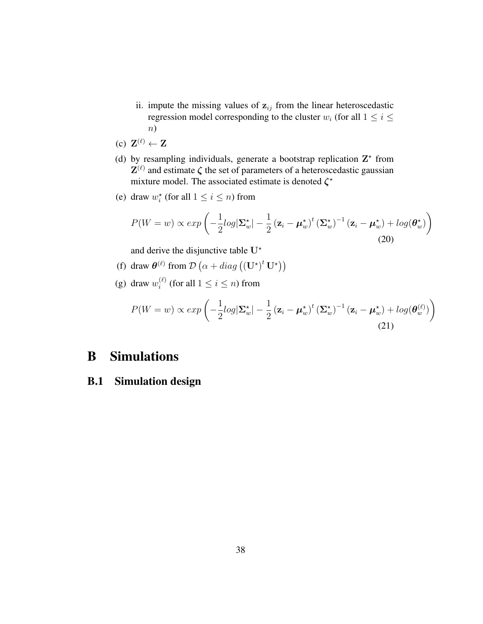- ii. impute the missing values of  $z_{ij}$  from the linear heteroscedastic regression model corresponding to the cluster  $w_i$  (for all  $1 \leq i \leq$ n)
- (c)  $\mathbf{Z}^{(\ell)} \leftarrow \mathbf{Z}$
- (d) by resampling individuals, generate a bootstrap replication  $Z^*$  from  $\mathbf{Z}^{(\ell)}$  and estimate  $\zeta$  the set of parameters of a heteroscedastic gaussian mixture model. The associated estimate is denoted  $\zeta^*$
- (e) draw  $w_i^*$  (for all  $1 \le i \le n$ ) from

$$
P(W = w) \propto exp\left(-\frac{1}{2}log|\Sigma_{w}^{\star}| - \frac{1}{2}(\mathbf{z}_{i} - \boldsymbol{\mu}_{w}^{\star})^{t}(\boldsymbol{\Sigma}_{w}^{\star})^{-1}(\mathbf{z}_{i} - \boldsymbol{\mu}_{w}^{\star}) + log(\boldsymbol{\theta}_{w}^{\star})\right)
$$
\n(20)

and derive the disjunctive table  $U^*$ 

- (f) draw  $\theta^{(\ell)}$  from  $\mathcal{D}(\alpha + diag((\mathbf{U}^{\star})^t \mathbf{U}^{\star}))$
- (g) draw  $w_i^{(\ell)}$  $i^{(\ell)}$  (for all  $1 \leq i \leq n$ ) from

$$
P(W = w) \propto exp\left(-\frac{1}{2}log|\Sigma_{w}^{\star}| - \frac{1}{2}\left(\mathbf{z}_{i} - \boldsymbol{\mu}_{w}^{\star}\right)^{t}\left(\boldsymbol{\Sigma}_{w}^{\star}\right)^{-1}\left(\mathbf{z}_{i} - \boldsymbol{\mu}_{w}^{\star}\right) + log(\boldsymbol{\theta}_{w}^{(\ell)})\right)
$$
\n(21)

## B Simulations

## B.1 Simulation design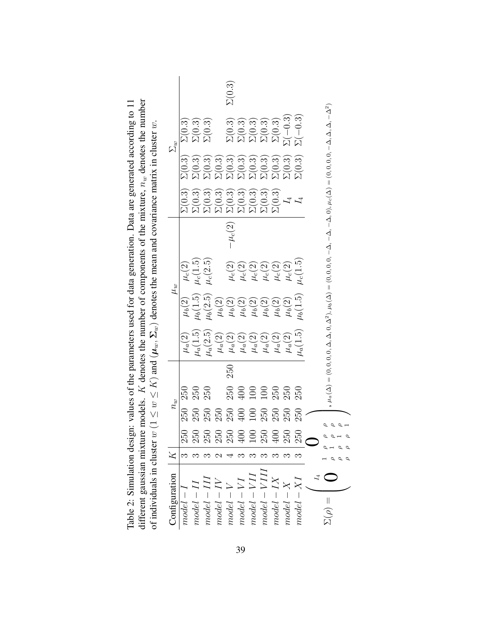| of individuals in cluster $w$                                                                                                        |   |             |                |     |                                                                                                                                                                                     |                                                                                                                                                                                                                  | $(1 \leq w \leq K)$ and $(\mu_w, \Sigma_w)$ denotes the mean and covariance matrix in cluster w.                                  |             |                                              |                                                        |                                                                                                                                                                 |               |
|--------------------------------------------------------------------------------------------------------------------------------------|---|-------------|----------------|-----|-------------------------------------------------------------------------------------------------------------------------------------------------------------------------------------|------------------------------------------------------------------------------------------------------------------------------------------------------------------------------------------------------------------|-----------------------------------------------------------------------------------------------------------------------------------|-------------|----------------------------------------------|--------------------------------------------------------|-----------------------------------------------------------------------------------------------------------------------------------------------------------------|---------------|
| Configuration                                                                                                                        |   |             | $n_w$          |     |                                                                                                                                                                                     |                                                                                                                                                                                                                  | $\mu_w$                                                                                                                           |             |                                              |                                                        | $\Sigma_w$                                                                                                                                                      |               |
| $model-I$                                                                                                                            | က | 250         | 250            |     | $\mu_a(2)$                                                                                                                                                                          |                                                                                                                                                                                                                  | $\mu_{c}(2)$                                                                                                                      |             |                                              |                                                        |                                                                                                                                                                 |               |
|                                                                                                                                      |   |             | $250$<br>$250$ |     |                                                                                                                                                                                     |                                                                                                                                                                                                                  |                                                                                                                                   |             |                                              |                                                        |                                                                                                                                                                 |               |
|                                                                                                                                      |   |             |                |     |                                                                                                                                                                                     |                                                                                                                                                                                                                  | $\mu_c(1.5)\\ \mu_c(2.5)$                                                                                                         |             |                                              |                                                        | $\Sigma(0.3) \ \Sigma(0.3) \ \Sigma(0.3)$                                                                                                                       |               |
|                                                                                                                                      |   |             |                |     |                                                                                                                                                                                     |                                                                                                                                                                                                                  |                                                                                                                                   |             |                                              |                                                        |                                                                                                                                                                 |               |
| $\begin{array}{l} model-II\\ model-III\\ model-IVI\\ model-V\\ model-VI\\ model-VI\\ model-VII\\ model=VII\\ model=VIII \end{array}$ |   | 33333903833 |                | 250 |                                                                                                                                                                                     |                                                                                                                                                                                                                  |                                                                                                                                   | $-\mu_c(2)$ | ลิลิลิลิลิลิลิลิลิ<br>OOOOOOOOOO<br>WWWWWWWW |                                                        |                                                                                                                                                                 | $\Sigma(0.3)$ |
|                                                                                                                                      |   |             |                |     |                                                                                                                                                                                     |                                                                                                                                                                                                                  |                                                                                                                                   |             |                                              |                                                        |                                                                                                                                                                 |               |
|                                                                                                                                      |   |             |                |     |                                                                                                                                                                                     |                                                                                                                                                                                                                  |                                                                                                                                   |             |                                              |                                                        |                                                                                                                                                                 |               |
|                                                                                                                                      |   |             |                |     |                                                                                                                                                                                     |                                                                                                                                                                                                                  |                                                                                                                                   |             |                                              |                                                        |                                                                                                                                                                 |               |
| $model - IX$                                                                                                                         |   |             |                |     |                                                                                                                                                                                     |                                                                                                                                                                                                                  |                                                                                                                                   |             |                                              |                                                        |                                                                                                                                                                 |               |
|                                                                                                                                      |   |             |                |     |                                                                                                                                                                                     |                                                                                                                                                                                                                  |                                                                                                                                   |             |                                              |                                                        |                                                                                                                                                                 |               |
| $model - X$ $model - XI$                                                                                                             |   |             |                |     | $\begin{array}{l} \mu_a(1.5) \\ \mu_a(2.5) \\ \mu_a(2) \\ \mu_a(2) \\ \mu_a(2) \\ \mu_a(2) \\ \mu_a(2) \\ \mu_a(2) \\ \mu_a(2) \\ \mu_a(2) \\ \mu_a(1.5) \\ \mu_a(1.5) \end{array}$ | $\begin{array}{l} \mu_b(2) \\ \mu_b(1.5) \\ \mu_b(2.5) \\ \mu_b(2) \\ \mu_b(3) \\ \mu_b(4) \\ \mu_b(5) \\ \mu_b(6) \\ \mu_b(7) \\ \mu_b(8) \\ \mu_b(9) \\ \mu_b(1.5) \\ \mu_b(1.5) \\ \mu_b(1.5) \\ \end{array}$ | $\begin{array}{l} \mu_{c}(2) \\ \mu_{c}(2) \\ \mu_{c}(2) \\ \mu_{c}(2) \\ \mu_{c}(1) \\ \mu_{c}(1.5) \\ \mu_{c}(1.5) \end{array}$ |             |                                              | ลิลิลิลิลิลิลิลิลิลิลิ<br>OOOOOOOOOOOO<br>ผมผมผมผมผมผม | $\begin{array}{l} \Omega(0,3) \\ \Omega(0,3) \\ \Omega(0,0,3) \\ \Omega(0,0,0) \\ \Omega(0,0,0) \\ \Omega(0,0,0) \\ \Omega(0,0,0) \\ \Omega(0,0,0) \end{array}$ |               |
|                                                                                                                                      |   |             |                |     |                                                                                                                                                                                     |                                                                                                                                                                                                                  |                                                                                                                                   |             |                                              |                                                        |                                                                                                                                                                 |               |
| $\Sigma(\rho) =$                                                                                                                     |   |             |                |     |                                                                                                                                                                                     |                                                                                                                                                                                                                  |                                                                                                                                   |             |                                              |                                                        |                                                                                                                                                                 |               |
|                                                                                                                                      |   |             |                |     |                                                                                                                                                                                     |                                                                                                                                                                                                                  |                                                                                                                                   |             |                                              |                                                        |                                                                                                                                                                 |               |
|                                                                                                                                      |   |             |                |     |                                                                                                                                                                                     |                                                                                                                                                                                                                  |                                                                                                                                   |             |                                              |                                                        |                                                                                                                                                                 |               |

<span id="page-38-0"></span>Table 2: Simulation design: values of the parameters used for data generation. Data are generated according to 11  $_w$  denotes the number Table 2: Simulation design: values of the parameters used for data generation. Data are generated according to 11  $\dot{\rm s}$  $w$ ) denotes the mean and covariance matrix in cluster w $\mathbf{z}$  denotes the number of components of the mixture,  $K)$  and  $(\boldsymbol{\mu}$  $\rtimes$ ≤different gaussian mixture models. w≤ $w(1)$ of individuals in cluster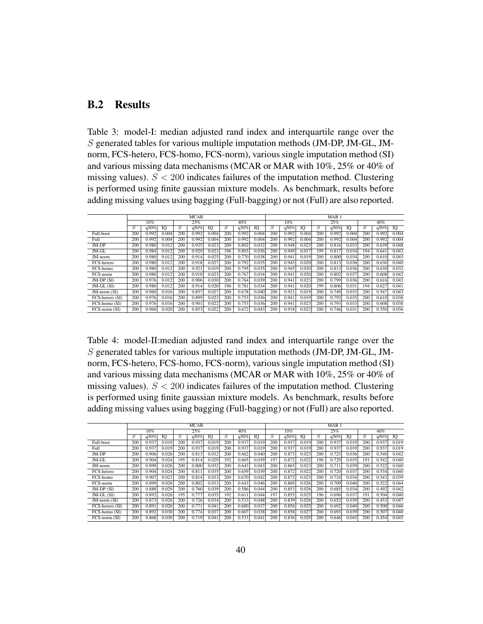## B.2 Results

<span id="page-39-0"></span>Table 3: model-I: median adjusted rand index and interquartile range over the S generated tables for various multiple imputation methods (JM-DP, JM-GL, JMnorm, FCS-hetero, FCS-homo, FCS-norm), various single imputation method (SI) and various missing data mechanisms (MCAR or MAR with 10%, 25% or 40% of missing values).  $S < 200$  indicates failures of the imputation method. Clustering is performed using finite gaussian mixture models. As benchmark, results before adding missing values using bagging (Full-bagging) or not (Full) are also reported.

|                   |     |       |       |     | <b>MCAR</b> |       |     |       |       |     |       |       |     | MAR <sub>1</sub> |       |     |       |       |
|-------------------|-----|-------|-------|-----|-------------|-------|-----|-------|-------|-----|-------|-------|-----|------------------|-------|-----|-------|-------|
|                   |     | 10%   |       |     | 25%         |       |     | 40%   |       |     | 10%   |       |     | 25%              |       |     | 40%   |       |
|                   | S   | q50%  | IO    | Ŧ.  | q50%        | IO    | S   | q50%  | IO    | S   | q50%  | IO    | S   | q50%             | IQ    | S   | q50%  | IO    |
| Full-boot         | 200 | 0.992 | 0.004 | 200 | 0.992       | 0.004 | 200 | 0.992 | 0.004 | 200 | 0.992 | 0.004 | 200 | 0.992            | 0.004 | 200 | 0.992 | 0.004 |
| Full              | 200 | 0.992 | 0.004 | 200 | 0.992       | 0.004 | 200 | 0.992 | 0.004 | 200 | 0.992 | 0.004 | 200 | 0.992            | 0.004 | 200 | 0.992 | 0.004 |
| JM-DP             | 200 | 0.980 | 0.012 | 200 | 0.925       | 0.023 | 200 | 0.802 | 0.032 | 200 | 0.948 | 0.023 | 200 | 0.816            | 0.033 | 200 | 0.639 | 0.048 |
| $JM$ - $GL$       | 200 | 0.984 | 0.012 | 200 | 0.929       | 0.023 | 196 | 0.803 | 0.036 | 200 | 0.949 | 0.017 | 199 | 0.817            | 0.034 | 194 | 0.641 | 0.043 |
| JM-norm           | 200 | 0.980 | 0.012 | 200 | 0.914       | 0.025 | 200 | 0.770 | 0.038 | 200 | 0.941 | 0.019 | 200 | 0.800            | 0.034 | 200 | 0.610 | 0.045 |
| FCS-hetero        | 200 | 0.980 | 0.012 | 200 | 0.918       | 0.027 | 200 | 0.792 | 0.035 | 200 | 0.945 | 0.020 | 200 | 0.813            | 0.036 | 200 | 0.630 | 0.040 |
| FCS-homo          | 200 | 0.980 | 0.012 | 200 | 0.921       | 0.019 | 200 | 0.795 | 0.035 | 200 | 0.945 | 0.020 | 200 | 0.813            | 0.036 | 200 | 0.630 | 0.032 |
| FCS-norm          | 200 | 0.980 | 0.012 | 200 | 0.910       | 0.023 | 200 | 0.767 | 0.034 | 200 | 0.941 | 0.020 | 200 | 0.802            | 0.037 | 200 | 0.608 | 0.042 |
| $JM$ -DP $(SI)$   | 200 | 0.976 | 0.012 | 200 | 0.906       | 0.030 | 200 | 0.764 | 0.039 | 200 | 0.941 | 0.023 | 200 | 0.799            | 0.036 | 200 | 0.616 | 0.043 |
| $JM$ -GL $(SI)$   | 200 | 0.980 | 0.012 | 200 | 0.914       | 0.020 | 196 | 0.781 | 0.034 | 200 | 0.941 | 0.020 | 199 | 0.806            | 0.031 | 194 | 0.627 | 0.041 |
| $JM$ -norm $(SI)$ | 200 | 0.960 | 0.016 | 200 | 0.857       | 0.027 | 200 | 0.678 | 0.040 | 200 | 0.921 | 0.019 | 200 | 0.749            | 0.033 | 200 | 0.547 | 0.043 |
| FCS-hetero (SI)   | 200 | 0.976 | 0.016 | 200 | 0.899       | 0.023 | 200 | 0.753 | 0.036 | 200 | 0.941 | 0.019 | 200 | 0.792            | 0.035 | 200 | 0.610 | 0.038 |
| FCS-homo (SI)     | 200 | 0.976 | 0.016 | 200 | 0.901       | 0.022 | 200 | 0.753 | 0.036 | 200 | 0.941 | 0.023 | 200 | 0.793            | 0.033 | 200 | 0.608 | 0.038 |
| FCS-norm (SI)     | 200 | 0.960 | 0.020 | 200 | 0.853       | 0.022 | 200 | 0.672 | 0.043 | 200 | 0.918 | 0.023 | 200 | 0.746            | 0.031 | 200 | 0.550 | 0.036 |

Table 4: model-II:median adjusted rand index and interquartile range over the S generated tables for various multiple imputation methods (JM-DP, JM-GL, JMnorm, FCS-hetero, FCS-homo, FCS-norm), various single imputation method (SI) and various missing data mechanisms (MCAR or MAR with 10%, 25% or 40% of missing values).  $S < 200$  indicates failures of the imputation method. Clustering is performed using finite gaussian mixture models. As benchmark, results before adding missing values using bagging (Full-bagging) or not (Full) are also reported.

|                               |     |       |       |     | <b>MCAR</b> |       |     |       |       |     |       |       |     | MAR <sub>1</sub> |       |     |       |       |
|-------------------------------|-----|-------|-------|-----|-------------|-------|-----|-------|-------|-----|-------|-------|-----|------------------|-------|-----|-------|-------|
|                               |     | 10%   |       |     | 25%         |       |     | 40%   |       |     | 10%   |       |     | 25%              |       |     | 40%   |       |
|                               | S   | q50%  | IO    | S   | q50%        | IO    | S   | q50%  | ю     | S   | q50%  | Ю     | S   | q50%             | IQ    | S   | q50%  | IO    |
| Full-boot                     | 200 | 0.937 | 0.019 | 200 | 0.937       | 0.019 | 200 | 0.937 | 0.019 | 200 | 0.937 | 0.019 | 200 | 0.937            | 0.019 | 200 | 0.937 | 0.019 |
| Full                          | 200 | 0.937 | 0.019 | 200 | 0.937       | 0.019 | 200 | 0.937 | 0.019 | 200 | 0.937 | 0.019 | 200 | 0.937            | 0.019 | 200 | 0.937 | 0.019 |
| JM-DP                         | 200 | 0.906 | 0.026 | 200 | 0.813       | 0.032 | 200 | 0.662 | 0.040 | 200 | 0.873 | 0.023 | 200 | 0.723            | 0.036 | 200 | 0.540 | 0.042 |
| JM-GL                         | 200 | 0.904 | 0.024 | 195 | 0.814       | 0.029 | 192 | 0.665 | 0.039 | 197 | 0.872 | 0.022 | 196 | 0.729            | 0.035 | 191 | 0.542 | 0.040 |
| JM-norm                       | 200 | 0.899 | 0.026 | 200 | 0.800       | 0.032 | 200 | 0.643 | 0.043 | 200 | 0.865 | 0.023 | 200 | 0.711            | 0.039 | 200 | 0.522 | 0.040 |
| FCS-hetero                    | 200 | 0.904 | 0.024 | 200 | 0.811       | 0.035 | 200 | 0.659 | 0.039 | 200 | 0.872 | 0.022 | 200 | 0.720            | 0.037 | 200 | 0.534 | 0.040 |
| FCS-homo                      | 200 | 0.907 | 0.023 | 200 | 0.814       | 0.033 | 200 | 0.670 | 0.042 | 200 | 0.872 | 0.023 | 200 | 0.724            | 0.034 | 200 | 0.543 | 0.039 |
| $FCS-norm$                    | 200 | 0.899 | 0.026 | 200 | 0.802       | 0.033 | 200 | 0.643 | 0.046 | 200 | 0.869 | 0.026 | 200 | 0.709            | 0.040 | 200 | 0.522 | 0.044 |
| $JM$ -DP $(SI)$               | 200 | 0.888 | 0.029 | 200 | 0.760       | 0.039 | 200 | 0.586 | 0.044 | 200 | 0.853 | 0.026 | 200 | 0.685            | 0.034 | 200 | 0.492 | 0.042 |
| $JM$ -GL $(SI)$               | 200 | 0.892 | 0.026 | 195 | 0.777       | 0.035 | 192 | 0.611 | 0.044 | 197 | 0.855 | 0.025 | 196 | 0.696            | 0.037 | 191 | 0.504 | 0.040 |
| JM-norm (SI)                  | 200 | 0.873 | 0.026 | 200 | 0.726       | 0.034 | 200 | 0.533 | 0.048 | 200 | 0.839 | 0.026 | 200 | 0.652            | 0.039 | 200 | 0.453 | 0.047 |
| FCS-hetero (SI)               | 200 | 0.891 | 0.026 | 200 | 0.771       | 0.041 | 200 | 0.600 | 0.037 | 200 | 0.856 | 0.025 | 200 | 0.692            | 0.040 | 200 | 0.500 | 0.046 |
| FCS-homo (SI)                 | 200 | 0.892 | 0.030 | 200 | 0.774       | 0.037 | 200 | 0.607 | 0.038 | 200 | 0.858 | 0.027 | 200 | 0.693            | 0.039 | 200 | 0.507 | 0.040 |
| $\overline{FCS}$ -norm $(SI)$ | 200 | 0.868 | 0.030 | 200 | 0.719       | 0.041 | 200 | 0.533 | 0.041 | 200 | 0.836 | 0.029 | 200 | 0.646            | 0.045 | 200 | 0.454 | 0.045 |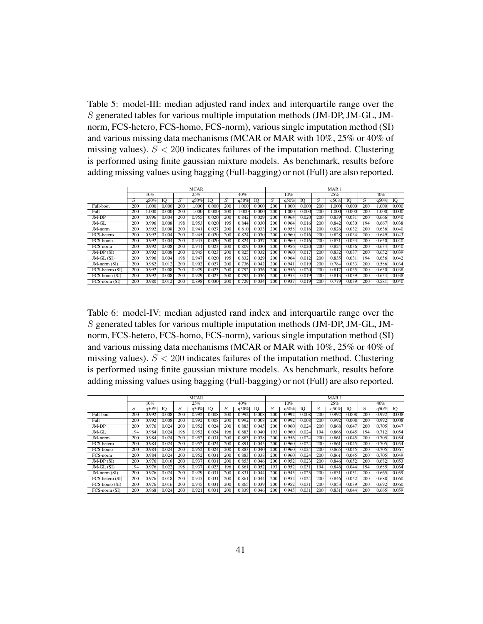Table 5: model-III: median adjusted rand index and interquartile range over the S generated tables for various multiple imputation methods (JM-DP, JM-GL, JMnorm, FCS-hetero, FCS-homo, FCS-norm), various single imputation method (SI) and various missing data mechanisms (MCAR or MAR with 10%, 25% or 40% of missing values).  $S < 200$  indicates failures of the imputation method. Clustering is performed using finite gaussian mixture models. As benchmark, results before adding missing values using bagging (Full-bagging) or not (Full) are also reported.

|                   |     |       |       |     | <b>MCAR</b> |       |     |       |       |     |       |       |     | MAR <sub>1</sub> |       |     |       |       |
|-------------------|-----|-------|-------|-----|-------------|-------|-----|-------|-------|-----|-------|-------|-----|------------------|-------|-----|-------|-------|
|                   |     | 10%   |       |     | 25%         |       |     | 40%   |       |     | 10%   |       |     | 25%              |       |     | 40%   |       |
|                   | S   | q50%  | IO    | S   | q50%        | IO    | S   | q50%  | IO    | S   | q50%  | ю     | S   | q50%             | IO    | S   | q50%  | IO    |
| Full-boot         | 200 | 1.000 | 0.000 | 200 | 000.1       | 0.000 | 200 | 1.000 | 0.000 | 200 | 1.000 | 0.000 | 200 | 000.1            | 0.000 | 200 | 000.1 | 0.000 |
| Full              | 200 | 1.000 | 0.000 | 200 | .000        | 0.000 | 200 | 1.000 | 0.000 | 200 | 1.000 | 0.000 | 200 | 1.000            | 0.000 | 200 | 000.1 | 0.000 |
| JM-DP             | 200 | 0.996 | 0.004 | 200 | 0.955       | 0.020 | 200 | 0.842 | 0.029 | 200 | 0.964 | 0.020 | 200 | 0.839            | 0.031 | 200 | 0.666 | 0.040 |
| JM-GL             | 200 | 0.996 | 0.008 | 198 | 0.953       | 0.020 | 195 | 0.844 | 0.030 | 200 | 0.964 | 0.016 | 200 | 0.842            | 0.030 | 194 | 0.667 | 0.038 |
| JM-norm           | 200 | 0.992 | 0.008 | 200 | 0.941       | 0.027 | 200 | 0.810 | 0.033 | 200 | 0.958 | 0.016 | 200 | 0.826            | 0.032 | 200 | 0.636 | 0.040 |
| FCS-hetero        | 200 | 0.992 | 0.004 | 200 | 0.945       | 0.020 | 200 | 0.824 | 0.030 | 200 | 0.960 | 0.016 | 200 | 0.828            | 0.034 | 200 | 0.649 | 0.043 |
| FCS-homo          | 200 | 0.992 | 0.004 | 200 | 0.945       | 0.020 | 200 | 0.824 | 0.037 | 200 | 0.960 | 0.016 | 200 | 0.831            | 0.033 | 200 | 0.650 | 0.040 |
| $FCS-norm$        | 200 | 0.992 | 0.008 | 200 | 0.941       | 0.023 | 200 | 0.809 | 0.030 | 200 | 0.956 | 0.020 | 200 | 0.824            | 0.036 | 200 | 0.634 | 0.040 |
| $JM$ -DP $(SI)$   | 200 | 0.992 | 0.008 | 200 | 0.945       | 0.023 | 200 | 0.825 | 0.032 | 200 | 0.960 | 0.017 | 200 | 0.832            | 0.037 | 200 | 0.652 | 0.039 |
| $JM$ -GL $(SI)$   | 200 | 0.996 | 0.004 | 198 | 0.947       | 0.020 | 195 | 0.832 | 0.029 | 200 | 0.964 | 0.012 | 200 | 0.835            | 0.031 | 194 | 0.656 | 0.042 |
| $JM$ -norm $(SI)$ | 200 | 0.982 | 0.012 | 200 | 0.902       | 0.027 | 200 | 0.736 | 0.042 | 200 | 0.941 | 0.019 | 200 | 0.784            | 0.033 | 200 | 0.586 | 0.034 |
| FCS-hetero (SI)   | 200 | 0.992 | 0.008 | 200 | 0.929       | 0.023 | 200 | 0.792 | 0.036 | 200 | 0.956 | 0.020 | 200 | 0.817            | 0.035 | 200 | 0.630 | 0.038 |
| FCS-homo (SI)     | 200 | 0.992 | 0.008 | 200 | 0.929       | 0.023 | 200 | 0.792 | 0.036 | 200 | 0.953 | 0.019 | 200 | 0.813            | 0.039 | 200 | 0.634 | 0.038 |
| FCS-norm (SI)     | 200 | 0.980 | 0.012 | 200 | 0.898       | 0.030 | 200 | 0.729 | 0.034 | 200 | 0.937 | 0.019 | 200 | 0.779            | 0.039 | 200 | 0.581 | 0.040 |

Table 6: model-IV: median adjusted rand index and interquartile range over the S generated tables for various multiple imputation methods (JM-DP, JM-GL, JMnorm, FCS-hetero, FCS-homo, FCS-norm), various single imputation method (SI) and various missing data mechanisms (MCAR or MAR with 10%, 25% or 40% of missing values).  $S < 200$  indicates failures of the imputation method. Clustering is performed using finite gaussian mixture models. As benchmark, results before adding missing values using bagging (Full-bagging) or not (Full) are also reported.

|                   |     |         |       |     | <b>MCAR</b> |       |     |       |       |     |       |       |     | MAR <sub>1</sub> |       |     |       |       |
|-------------------|-----|---------|-------|-----|-------------|-------|-----|-------|-------|-----|-------|-------|-----|------------------|-------|-----|-------|-------|
|                   |     | 10%     |       |     | 25%         |       |     | 40%   |       |     | 10%   |       |     | 25%              |       |     | 40%   |       |
|                   | S   | $q50\%$ | IQ    | S   | q50%        | ю     | S   | q50%  | ю     | S   | q50%  | Ю     | S   | q50%             | IQ    | S   | q50%  | 10    |
| Full-boot         | 200 | 0.992   | 0.008 | 200 | 0.992       | 0.008 | 200 | 0.992 | 0.008 | 200 | 0.992 | 0.008 | 200 | 0.992            | 0.008 | 200 | 0.992 | 0.008 |
| Full              | 200 | 0.992   | 0.008 | 200 | 0.992       | 0.008 | 200 | 0.992 | 0.008 | 200 | 0.992 | 0.008 | 200 | 0.992            | 0.008 | 200 | 0.992 | 0.008 |
| $JM-DP$           | 200 | 0.976   | 0.024 | 200 | 0.952       | 0.024 | 200 | 0.883 | 0.045 | 200 | 0.960 | 0.024 | 200 | 0.868            | 0.047 | 200 | 0.705 | 0.047 |
| JM-GL             | 194 | 0.984   | 0.024 | 198 | 0.952       | 0.024 | 196 | 0.883 | 0.040 | 193 | 0.960 | 0.024 | 194 | 0.868            | 0.045 | 194 | 0.712 | 0.054 |
| JM-norm           | 200 | 0.984   | 0.024 | 200 | 0.952       | 0.031 | 200 | 0.883 | 0.038 | 200 | 0.956 | 0.024 | 200 | 0.861            | 0.045 | 200 | 0.705 | 0.054 |
| FCS-hetero        | 200 | 0.984   | 0.024 | 200 | 0.952       | 0.024 | 200 | 0.891 | 0.045 | 200 | 0.960 | 0.024 | 200 | 0.861            | 0.045 | 200 | 0.705 | 0.054 |
| FCS-homo          | 200 | 0.984   | 0.024 | 200 | 0.952       | 0.024 | 200 | 0.883 | 0.040 | 200 | 0.960 | 0.024 | 200 | 0.865            | 0.045 | 200 | 0.705 | 0.061 |
| FCS-norm          | 200 | 0.984   | 0.024 | 200 | 0.952       | 0.031 | 200 | 0.883 | 0.038 | 200 | 0.960 | 0.024 | 200 | 0.861            | 0.045 | 200 | 0.705 | 0.049 |
| $JM-DP(SI)$       | 200 | 0.976   | 0.016 | 200 | 0.937       | 0.031 | 200 | 0.853 | 0.046 | 200 | 0.952 | 0.023 | 200 | 0.846            | 0.052 | 200 | 0.682 | 0.053 |
| $JM$ -GL $(SI)$   | 194 | 0.976   | 0.022 | 198 | 0.937       | 0.023 | 196 | 0.861 | 0.052 | 193 | 0.952 | 0.031 | 194 | 0.846            | 0.044 | 194 | 0.685 | 0.064 |
| $JM$ -norm $(SI)$ | 200 | 0.976   | 0.024 | 200 | 0.929       | 0.031 | 200 | 0.831 | 0.044 | 200 | 0.945 | 0.025 | 200 | 0.831            | 0.051 | 200 | 0.665 | 0.059 |
| FCS-hetero (SI)   | 200 | 0.976   | 0.018 | 200 | 0.945       | 0.031 | 200 | 0.861 | 0.044 | 200 | 0.952 | 0.024 | 200 | 0.846            | 0.052 | 200 | 0.688 | 0.060 |
| FCS-homo (SI)     | 200 | 0.976   | 0.016 | 200 | 0.945       | 0.031 | 200 | 0.865 | 0.039 | 200 | 0.952 | 0.031 | 200 | 0.853            | 0.039 | 200 | 0.692 | 0.060 |
| FCS-norm (SI)     | 200 | 0.968   | 0.024 | 200 | 0.921       | 0.031 | 200 | 0.839 | 0.046 | 200 | 0.945 | 0.031 | 200 | 0.831            | 0.044 | 200 | 0.665 | 0.059 |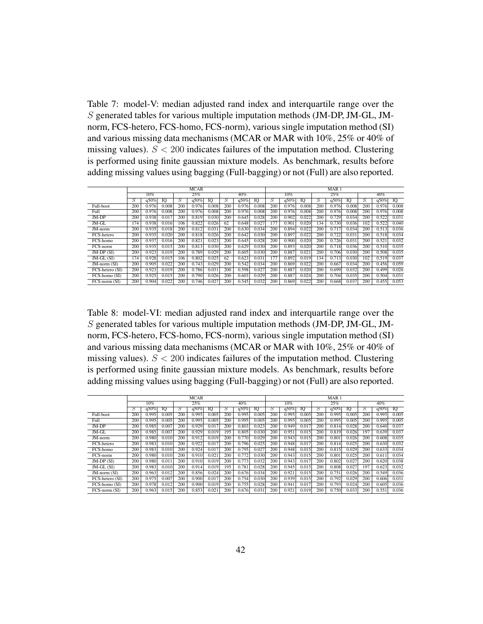<span id="page-41-0"></span>Table 7: model-V: median adjusted rand index and interquartile range over the S generated tables for various multiple imputation methods (JM-DP, JM-GL, JMnorm, FCS-hetero, FCS-homo, FCS-norm), various single imputation method (SI) and various missing data mechanisms (MCAR or MAR with 10%, 25% or 40% of missing values).  $S < 200$  indicates failures of the imputation method. Clustering is performed using finite gaussian mixture models. As benchmark, results before adding missing values using bagging (Full-bagging) or not (Full) are also reported.

|                   |     |        |       |     | <b>MCAR</b> |       |     |       |       |     |       |       |     | MAR <sub>1</sub> |       |     |       |       |
|-------------------|-----|--------|-------|-----|-------------|-------|-----|-------|-------|-----|-------|-------|-----|------------------|-------|-----|-------|-------|
|                   |     | $10\%$ |       |     | 25%         |       |     | 40%   |       |     | 10%   |       |     | 25%              |       |     | 40%   |       |
|                   | S   | q50%   | IO    | S   | q50%        | IO    | S   | q50%  | IO    | 5   | q50%  | Ю     | S   | q50%             | IO    | S   | q50%  | IO    |
| Full-boot         | 200 | 0.976  | 0.008 | 200 | 0.976       | 0.008 | 200 | 0.976 | 0.008 | 200 | 0.976 | 0.008 | 200 | 0.976            | 0.008 | 200 | 0.976 | 0.008 |
| Full              | 200 | 0.976  | 0.008 | 200 | 0.976       | 0.008 | 200 | 0.976 | 0.008 | 200 | 0.976 | 0.008 | 200 | 0.976            | 0.008 | 200 | 0.976 | 0.008 |
| JM-DP             | 200 | 0.938  | 0.017 | 200 | 0.819       | 0.030 | 200 | 0.645 | 0.028 | 200 | 0.902 | 0.022 | 200 | 0.729            | 0.034 | 200 | 0.522 | 0.031 |
| JM-GL             | 174 | 0.938  | 0.016 | 106 | 0.822       | 0.026 | 62  | 0.648 | 0.027 | 177 | 0.901 | 0.020 | 134 | 0.730            | 0.036 | 102 | 0.522 | 0.040 |
| $JM$ -norm        | 200 | 0.935  | 0.018 | 200 | 0.812       | 0.031 | 200 | 0.630 | 0.034 | 200 | 0.894 | 0.022 | 200 | 0.717            | 0.034 | 200 | 0.513 | 0.036 |
| FCS-hetero        | 200 | 0.935  | 0.020 | 200 | 0.818       | 0.026 | 200 | 0.642 | 0.030 | 200 | 0.897 | 0.022 | 200 | 0.722            | 0.031 | 200 | 0.518 | 0.034 |
| FCS-homo          | 200 | 0.937  | 0.016 | 200 | 0.821       | 0.023 | 200 | 0.645 | 0.028 | 200 | 0.900 | 0.020 | 200 | 0.726            | 0.031 | 200 | 0.521 | 0.032 |
| FCS-norm          | 200 | 0.935  | 0.015 | 200 | 0.813       | 0.030 | 200 | 0.629 | 0.030 | 200 | 0.893 | 0.020 | 200 | 0.718            | 0.036 | 200 | 0.510 | 0.035 |
| $JM$ -DP $(SI)$   | 200 | 0.923  | 0.019 | 200 | 0.789       | 0.029 | 200 | 0.605 | 0.030 | 200 | 0.887 | 0.021 | 200 | 0.706            | 0.030 | 200 | 0.508 | 0.035 |
| $JM$ -GL $(SI)$   | 174 | 0.928  | 0.015 | 106 | 0.802       | 0.025 | 62  | 0.623 | 0.031 | 177 | 0.892 | 0.019 | 134 | 0.713            | 0.030 | 102 | 0.519 | 0.037 |
| $JM$ -norm $(SI)$ | 200 | 0.905  | 0.022 | 200 | 0.743       | 0.029 | 200 | 0.542 | 0.034 | 200 | 0.869 | 0.022 | 200 | 0.667            | 0.034 | 200 | 0.456 | 0.059 |
| FCS-hetero (SI)   | 200 | 0.923  | 0.019 | 200 | 0.786       | 0.031 | 200 | 0.598 | 0.027 | 200 | 0.887 | 0.020 | 200 | 0.699            | 0.032 | 200 | 0.499 | 0.026 |
| FCS-homo (SI)     | 200 | 0.925  | 0.015 | 200 | 0.790       | 0.026 | 200 | 0.603 | 0.029 | 200 | 0.887 | 0.024 | 200 | 0.704            | 0.035 | 200 | 0.504 | 0.031 |
| $FCS-norm(SI)$    | 200 | 0.904  | 0.022 | 200 | 0.746       | 0.027 | 200 | 0.545 | 0.032 | 200 | 0.869 | 0.022 | 200 | 0.668            | 0.037 | 200 | 0.455 | 0.053 |

Table 8: model-VI: median adjusted rand index and interquartile range over the S generated tables for various multiple imputation methods (JM-DP, JM-GL, JMnorm, FCS-hetero, FCS-homo, FCS-norm), various single imputation method (SI) and various missing data mechanisms (MCAR or MAR with 10%, 25% or 40% of missing values).  $S < 200$  indicates failures of the imputation method. Clustering is performed using finite gaussian mixture models. As benchmark, results before adding missing values using bagging (Full-bagging) or not (Full) are also reported.

|                   |     |        |       |     | <b>MCAR</b> |       |     |       |       |     |       |       |     | MAR <sub>1</sub> |       |     |       |       |
|-------------------|-----|--------|-------|-----|-------------|-------|-----|-------|-------|-----|-------|-------|-----|------------------|-------|-----|-------|-------|
|                   |     | $10\%$ |       |     | 25%         |       |     | 40%   |       |     | 10%   |       |     | 25%              |       |     | 40%   |       |
|                   | S   | q50%   | ю     | S   | q50%        | ю     | S   | q50%  | ю     | S   | q50%  | ю     | S   | q50%             | IQ    | S   | q50%  | 10    |
| Full-boot         | 200 | 0.995  | 0.005 | 200 | 0.995       | 0.005 | 200 | 0.995 | 0.005 | 200 | 0.995 | 0.005 | 200 | 0.995            | 0.005 | 200 | 0.995 | 0.005 |
| Full              | 200 | 0.995  | 0.005 | 200 | 0.995       | 0.005 | 200 | 0.995 | 0.005 | 200 | 0.995 | 0.005 | 200 | 0.995            | 0.005 | 200 | 0.995 | 0.005 |
| $JM-DP$           | 200 | 0.985  | 0.007 | 200 | 0.929       | 0.017 | 200 | 0.803 | 0.023 | 200 | 0.949 | 0.017 | 200 | 0.814            | 0.028 | 200 | 0.640 | 0.037 |
| JM-GL             | 200 | 0.985  | 0.007 | 200 | 0.929       | 0.019 | 195 | 0.805 | 0.030 | 200 | 0.951 | 0.015 | 200 | 0.819            | 0.026 | 197 | 0.639 | 0.037 |
| JM-norm           | 200 | 0.980  | 0.010 | 200 | 0.912       | 0.019 | 200 | 0.770 | 0.029 | 200 | 0.943 | 0.015 | 200 | 0.801            | 0.026 | 200 | 0.608 | 0.035 |
| FCS-hetero        | 200 | 0.983  | 0.010 | 200 | 0.922       | 0.017 | 200 | 0.796 | 0.025 | 200 | 0.948 | 0.017 | 200 | 0.814            | 0.025 | 200 | 0.630 | 0.032 |
| FCS-homo          | 200 | 0.983  | 0.010 | 200 | 0.924       | 0.017 | 200 | 0.795 | 0.027 | 200 | 0.948 | 0.015 | 200 | 0.815            | 0.029 | 200 | 0.633 | 0.034 |
| FCS-norm          | 200 | 0.980  | 0.010 | 200 | 0.910       | 0.021 | 200 | 0.772 | 0.030 | 200 | 0.943 | 0.015 | 200 | 0.801            | 0.025 | 200 | 0.611 | 0.034 |
| $JM-DP(SI)$       | 200 | 0.980  | 0.011 | 200 | 0.910       | 0.019 | 200 | 0.773 | 0.032 | 200 | 0.943 | 0.017 | 200 | 0.802            | 0.027 | 200 | 0.620 | 0.038 |
| $JM$ -GL $(SI)$   | 200 | 0.983  | 0.010 | 200 | 0.914       | 0.019 | 195 | 0.781 | 0.028 | 200 | 0.945 | 0.015 | 200 | 0.808            | 0.027 | 197 | 0.623 | 0.032 |
| $JM$ -norm $(SI)$ | 200 | 0.963  | 0.012 | 200 | 0.856       | 0.024 | 200 | 0.676 | 0.034 | 200 | 0.921 | 0.015 | 200 | 0.751            | 0.026 | 200 | 0.549 | 0.036 |
| FCS-hetero (SI)   | 200 | 0.975  | 0.007 | 200 | 0.900       | 0.017 | 200 | 0.754 | 0.030 | 200 | 0.939 | 0.015 | 200 | 0.792            | 0.029 | 200 | 0.606 | 0.031 |
| FCS-homo (SI)     | 200 | 0.978  | 0.012 | 200 | 0.900       | 0.019 | 200 | 0.755 | 0.028 | 200 | 0.941 | 0.017 | 200 | 0.793            | 0.024 | 200 | 0.605 | 0.036 |
| FCS-norm (SI)     | 200 | 0.963  | 0.015 | 200 | 0.853       | 0.021 | 200 | 0.676 | 0.031 | 200 | 0.921 | 0.019 | 200 | 0.750            | 0.033 | 200 | 0.551 | 0.036 |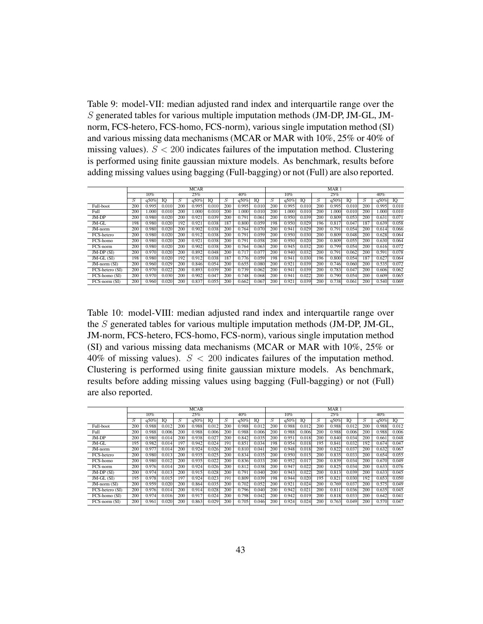Table 9: model-VII: median adjusted rand index and interquartile range over the S generated tables for various multiple imputation methods (JM-DP, JM-GL, JMnorm, FCS-hetero, FCS-homo, FCS-norm), various single imputation method (SI) and various missing data mechanisms (MCAR or MAR with 10%, 25% or 40% of missing values).  $S < 200$  indicates failures of the imputation method. Clustering is performed using finite gaussian mixture models. As benchmark, results before adding missing values using bagging (Full-bagging) or not (Full) are also reported.

|                   |     |       |       |     | <b>MCAR</b> |       |     |       |       |     |       |       |     | MAR <sub>1</sub> |       |     |       |       |
|-------------------|-----|-------|-------|-----|-------------|-------|-----|-------|-------|-----|-------|-------|-----|------------------|-------|-----|-------|-------|
|                   |     | 10%   |       |     | 25%         |       |     | 40%   |       |     | 10%   |       |     | 25%              |       |     | 40%   |       |
|                   | S   | q50%  | IO    | S   | q50%        | IO    | S   | q50%  | IO    | S   | q50%  | ю     | S   | q50%             | IO    | S   | q50%  | IO    |
| Full-boot         | 200 | 0.995 | 0.010 | 200 | 0.995       | 0.010 | 200 | 0.995 | 0.010 | 200 | 0.995 | 0.010 | 200 | 0.995            | 0.010 | 200 | 0.995 | 0.010 |
| Full              | 200 | 1.000 | 0.010 | 200 | .000        | 0.010 | 200 | 1.000 | 0.010 | 200 | 1.000 | 0.010 | 200 | 1.000            | 0.010 | 200 | 000.1 | 0.010 |
| JM-DP             | 200 | 0.980 | 0.020 | 200 | 0.921       | 0.039 | 200 | 0.791 | 0.061 | 200 | 0.950 | 0.039 | 200 | 0.809            | 0.053 | 200 | 0.631 | 0.071 |
| JM-GL             | 198 | 0.980 | 0.020 | 192 | 0.921       | 0.038 | 187 | 0.800 | 0.059 | 198 | 0.950 | 0.029 | 196 | 0.817            | 0.047 | 187 | 0.639 | 0.058 |
| JM-norm           | 200 | 0.980 | 0.020 | 200 | 0.902       | 0.038 | 200 | 0.764 | 0.070 | 200 | 0.941 | 0.029 | 200 | 0.791            | 0.054 | 200 | 0.614 | 0.066 |
| FCS-hetero        | 200 | 0.980 | 0.020 | 200 | 0.912       | 0.038 | 200 | 0.791 | 0.059 | 200 | 0.950 | 0.030 | 200 | 0.809            | 0.048 | 200 | 0.628 | 0.064 |
| FCS-homo          | 200 | 0.980 | 0.020 | 200 | 0.921       | 0.038 | 200 | 0.791 | 0.058 | 200 | 0.950 | 0.020 | 200 | 0.809            | 0.055 | 200 | 0.630 | 0.064 |
| FCS-norm          | 200 | 0.980 | 0.020 | 200 | 0.902       | 0.038 | 200 | 0.764 | 0.063 | 200 | 0.945 | 0.032 | 200 | 0.799            | 0.054 | 200 | 0.616 | 0.072 |
| $JM$ -DP $(SI)$   | 200 | 0.970 | 0.020 | 200 | 0.892       | 0.048 | 200 | 0.717 | 0.077 | 200 | 0.940 | 0.032 | 200 | 0.791            | 0.062 | 200 | 0.591 | 0.078 |
| $JM$ -GL $(SI)$   | 198 | 0.980 | 0.020 | 192 | 0.912       | 0.038 | 187 | 0.776 | 0.059 | 198 | 0.941 | 0.030 | 196 | 0.800            | 0.054 | 187 | 0.627 | 0.064 |
| $JM$ -norm $(SI)$ | 200 | 0.960 | 0.029 | 200 | 0.846       | 0.054 | 200 | 0.655 | 0.080 | 200 | 0.921 | 0.039 | 200 | 0.746            | 0.060 | 200 | 0.535 | 0.072 |
| FCS-hetero (SI)   | 200 | 0.970 | 0.022 | 200 | 0.893       | 0.039 | 200 | 0.739 | 0.062 | 200 | 0.941 | 0.039 | 200 | 0.783            | 0.047 | 200 | 0.606 | 0.062 |
| FCS-homo (SI)     | 200 | 0.970 | 0.030 | 200 | 0.902       | 0.047 | 200 | 0.748 | 0.068 | 200 | 0.941 | 0.022 | 200 | 0.790            | 0.054 | 200 | 0.609 | 0.065 |
| FCS-norm (SI)     | 200 | 0.960 | 0.020 | 200 | 0.837       | 0.055 | 200 | 0.662 | 0.067 | 200 | 0.921 | 0.039 | 200 | 0.738            | 0.061 | 200 | 0.540 | 0.069 |

Table 10: model-VIII: median adjusted rand index and interquartile range over the S generated tables for various multiple imputation methods (JM-DP, JM-GL, JM-norm, FCS-hetero, FCS-homo, FCS-norm), various single imputation method (SI) and various missing data mechanisms (MCAR or MAR with 10%, 25% or 40% of missing values).  $S < 200$  indicates failures of the imputation method. Clustering is performed using finite gaussian mixture models. As benchmark, results before adding missing values using bagging (Full-bagging) or not (Full) are also reported.

|                             |     |       |       |     | <b>MCAR</b> |       |                |       |       |     |       |       |     | MAR <sub>1</sub> |       |     |       |       |
|-----------------------------|-----|-------|-------|-----|-------------|-------|----------------|-------|-------|-----|-------|-------|-----|------------------|-------|-----|-------|-------|
|                             |     | 10%   |       |     | 25%         |       |                | 40%   |       |     | 10%   |       |     | 25%              |       |     | 40%   |       |
|                             | Ŝ   | q50%  | IO    | Ŝ   | q50%        | IO    | $\overline{S}$ | q50%  | IQ    | S   | q50%  | IO    | S   | q50%             | IO    | S   | q50%  | IO    |
| Full-boot                   | 200 | 0.988 | 0.012 | 200 | 0.988       | 0.012 | 200            | 0.988 | 0.012 | 200 | 0.988 | 0.012 | 200 | 0.988            | 0.012 | 200 | 0.988 | 0.012 |
| Full                        | 200 | 0.988 | 0.006 | 200 | 0.988       | 0.006 | 200            | 0.988 | 0.006 | 200 | 0.988 | 0.006 | 200 | 0.988            | 0.006 | 200 | 0.988 | 0.006 |
| JM-DP                       | 200 | 0.980 | 0.014 | 200 | 0.938       | 0.027 | 200            | 0.842 | 0.035 | 200 | 0.951 | 0.018 | 200 | 0.840            | 0.034 | 200 | 0.661 | 0.048 |
| JM-GL                       | 195 | 0.982 | 0.014 | 197 | 0.942       | 0.024 | 191            | 0.851 | 0.034 | 198 | 0.954 | 0.018 | 195 | 0.841            | 0.032 | 192 | 0.674 | 0.047 |
| JM-norm                     | 200 | 0.977 | 0.014 | 200 | 0.924       | 0.026 | 200            | 0.810 | 0.041 | 200 | 0.948 | 0.018 | 200 | 0.822            | 0.037 | 200 | 0.632 | 0.067 |
| FCS-hetero                  | 200 | 0.980 | 0.013 | 200 | 0.935       | 0.025 | 200            | 0.834 | 0.035 | 200 | 0.950 | 0.015 | 200 | 0.835            | 0.033 | 200 | 0.654 | 0.055 |
| FCS-homo                    | 200 | 0.980 | 0.012 | 200 | 0.935       | 0.022 | 200            | 0.836 | 0.033 | 200 | 0.952 | 0.017 | 200 | 0.839            | 0.034 | 200 | 0.670 | 0.049 |
| FCS-norm                    | 200 | 0.976 | 0.014 | 200 | 0.924       | 0.026 | 200            | 0.812 | 0.038 | 200 | 0.947 | 0.022 | 200 | 0.825            | 0.034 | 200 | 0.633 | 0.076 |
| $JM$ -DP $(SI)$             | 200 | 0.974 | 0.013 | 200 | 0.915       | 0.028 | 200            | 0.791 | 0.040 | 200 | 0.943 | 0.022 | 200 | 0.813            | 0.039 | 200 | 0.633 | 0.045 |
| JM-GL (SI)                  | 195 | 0.978 | 0.015 | 197 | 0.924       | 0.023 | 191            | 0.809 | 0.039 | 198 | 0.944 | 0.020 | 195 | 0.821            | 0.030 | 192 | 0.653 | 0.050 |
| $JM$ -norm $(SI)$           | 200 | 0.959 | 0.020 | 200 | 0.864       | 0.035 | 200            | 0.702 | 0.052 | 200 | 0.921 | 0.024 | 200 | 0.769            | 0.037 | 200 | 0.575 | 0.049 |
| FCS-hetero (SI)             | 200 | 0.976 | 0.014 | 200 | 0.914       | 0.028 | 200            | 0.796 | 0.040 | 200 | 0.942 | 0.021 | 200 | 0.811            | 0.036 | 200 | 0.635 | 0.045 |
| $\overline{FCS}$ -homo (SI) | 200 | 0.974 | 0.016 | 200 | 0.917       | 0.024 | 200            | 0.798 | 0.042 | 200 | 0.942 | 0.019 | 200 | 0.818            | 0.033 | 200 | 0.642 | 0.041 |
| FCS-norm (SI)               | 200 | 0.961 | 0.020 | 200 | 0.863       | 0.029 | 200            | 0.705 | 0.046 | 200 | 0.924 | 0.024 | 200 | 0.763            | 0.049 | 200 | 0.570 | 0.047 |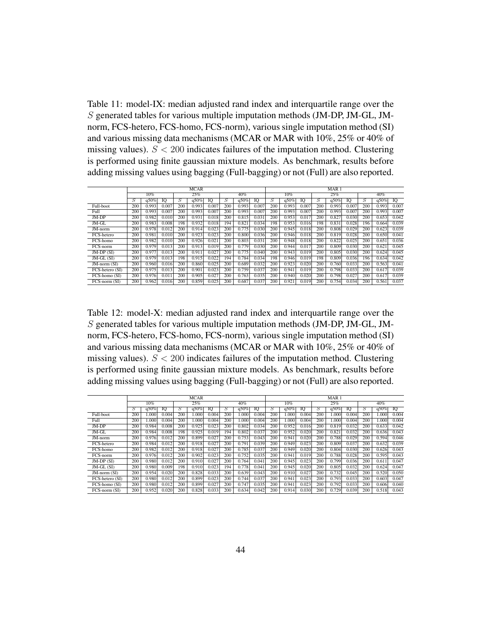Table 11: model-IX: median adjusted rand index and interquartile range over the S generated tables for various multiple imputation methods (JM-DP, JM-GL, JMnorm, FCS-hetero, FCS-homo, FCS-norm), various single imputation method (SI) and various missing data mechanisms (MCAR or MAR with 10%, 25% or 40% of missing values).  $S < 200$  indicates failures of the imputation method. Clustering is performed using finite gaussian mixture models. As benchmark, results before adding missing values using bagging (Full-bagging) or not (Full) are also reported.

|                   |     |        |       |     | <b>MCAR</b> |       |     |       |       |     |       |       |     | MAR <sub>1</sub> |       |     |       |       |
|-------------------|-----|--------|-------|-----|-------------|-------|-----|-------|-------|-----|-------|-------|-----|------------------|-------|-----|-------|-------|
|                   |     | $10\%$ |       |     | 25%         |       |     | 40%   |       |     | 10%   |       |     | 25%              |       |     | 40%   |       |
|                   | S   | q50%   | IO    | S   | q50%        | IO    | S   | q50%  | IO    | 5   | q50%  | Ю     | S   | q50%             | IO    | S   | q50%  | IQ    |
| Full-boot         | 200 | 0.993  | 0.007 | 200 | 0.993       | 0.007 | 200 | 0.993 | 0.007 | 200 | 0.993 | 0.007 | 200 | 0.993            | 0.007 | 200 | 0.993 | 0.007 |
| Full              | 200 | 0.993  | 0.007 | 200 | 0.993       | 0.007 | 200 | 0.993 | 0.007 | 200 | 0.993 | 0.007 | 200 | 0.993            | 0.007 | 200 | 0.993 | 0.007 |
| JM-DP             | 200 | 0.982  | 0.010 | 200 | 0.931       | 0.018 | 200 | 0.815 | 0.031 | 200 | 0.953 | 0.017 | 200 | 0.827            | 0.030 | 200 | 0.653 | 0.042 |
| JM-GL             | 200 | 0.983  | 0.008 | 198 | 0.932       | 0.018 | 194 | 0.821 | 0.034 | 198 | 0.953 | 0.016 | 198 | 0.831            | 0.028 | 196 | 0.664 | 0.039 |
| $JM$ -norm        | 200 | 0.978  | 0.012 | 200 | 0.914       | 0.023 | 200 | 0.775 | 0.030 | 200 | 0.945 | 0.018 | 200 | 0.808            | 0.029 | 200 | 0.623 | 0.039 |
| FCS-hetero        | 200 | 0.981  | 0.010 | 200 | 0.923       | 0.023 | 200 | 0.800 | 0.036 | 200 | 0.946 | 0.018 | 200 | 0.819            | 0.028 | 200 | 0.650 | 0.041 |
| FCS-homo          | 200 | 0.982  | 0.010 | 200 | 0.926       | 0.021 | 200 | 0.803 | 0.031 | 200 | 0.948 | 0.018 | 200 | 0.822            | 0.025 | 200 | 0.651 | 0.036 |
| FCS-norm          | 200 | 0.979  | 0.013 | 200 | 0.913       | 0.019 | 200 | 0.779 | 0.030 | 200 | 0.944 | 0.017 | 200 | 0.809            | 0.030 | 200 | 0.621 | 0.045 |
| $JM$ -DP $(SI)$   | 200 | 0.977  | 0.013 | 200 | 0.911       | 0.027 | 200 | 0.775 | 0.040 | 200 | 0.943 | 0.019 | 200 | 0.805            | 0.030 | 200 | 0.624 | 0.045 |
| $JM$ -GL $(SI)$   | 200 | 0.979  | 0.013 | 198 | 0.915       | 0.022 | 194 | 0.784 | 0.034 | 198 | 0.946 | 0.019 | 198 | 0.809            | 0.036 | 196 | 0.634 | 0.042 |
| $JM$ -norm $(SI)$ | 200 | 0.960  | 0.016 | 200 | 0.860       | 0.025 | 200 | 0.689 | 0.032 | 200 | 0.923 | 0.020 | 200 | 0.760            | 0.033 | 200 | 0.563 | 0.041 |
| FCS-hetero (SI)   | 200 | 0.975  | 0.013 | 200 | 0.901       | 0.023 | 200 | 0.759 | 0.037 | 200 | 0.941 | 0.019 | 200 | 0.798            | 0.033 | 200 | 0.617 | 0.039 |
| FCS-homo (SI)     | 200 | 0.976  | 0.011 | 200 | 0.905       | 0.027 | 200 | 0.763 | 0.035 | 200 | 0.940 | 0.020 | 200 | 0.798            | 0.027 | 200 | 0.617 | 0.039 |
| $FCS-norm(SI)$    | 200 | 0.962  | 0.016 | 200 | 0.859       | 0.025 | 200 | 0.687 | 0.037 | 200 | 0.921 | 0.019 | 200 | 0.754            | 0.034 | 200 | 0.561 | 0.037 |

Table 12: model-X: median adjusted rand index and interquartile range over the S generated tables for various multiple imputation methods (JM-DP, JM-GL, JMnorm, FCS-hetero, FCS-homo, FCS-norm), various single imputation method (SI) and various missing data mechanisms (MCAR or MAR with 10%, 25% or 40% of missing values).  $S < 200$  indicates failures of the imputation method. Clustering is performed using finite gaussian mixture models. As benchmark, results before adding missing values using bagging (Full-bagging) or not (Full) are also reported.

|                   |     |        |       |     | <b>MCAR</b> |       |     |       |       |     |       |       |     | MAR <sub>1</sub> |       |     |       |       |
|-------------------|-----|--------|-------|-----|-------------|-------|-----|-------|-------|-----|-------|-------|-----|------------------|-------|-----|-------|-------|
|                   |     | $10\%$ |       |     | 25%         |       |     | 40%   |       |     | 10%   |       |     | 25%              |       |     | 40%   |       |
|                   | S   | q50%   | ю     | S   | q50%        | ю     | S   | q50%  | IQ    | .S  | q50%  | ю     | S   | q50%             | IQ    | S   | q50%  | 10    |
| Full-boot         | 200 | 1.000  | 0.004 | 200 | 000.1       | 0.004 | 200 | 1.000 | 0.004 | 200 | 1.000 | 0.004 | 200 | 1.000            | 0.004 | 200 | 1.000 | 0.004 |
| Full              | 200 | 1.000  | 0.004 | 200 | 000.1       | 0.004 | 200 | 1.000 | 0.004 | 200 | 1.000 | 0.004 | 200 | 1.000            | 0.004 | 200 | 000.  | 0.004 |
| $JM-DP$           | 200 | 0.984  | 0.008 | 200 | 0.925       | 0.023 | 200 | 0.802 | 0.034 | 200 | 0.952 | 0.016 | 200 | 0.819            | 0.032 | 200 | 0.633 | 0.042 |
| JM-GL             | 200 | 0.984  | 0.008 | 198 | 0.925       | 0.019 | 194 | 0.802 | 0.037 | 200 | 0.952 | 0.020 | 200 | 0.821            | 0.032 | 200 | 0.636 | 0.043 |
| JM-norm           | 200 | 0.976  | 0.012 | 200 | 0.899       | 0.027 | 200 | 0.753 | 0.043 | 200 | 0.941 | 0.020 | 200 | 0.788            | 0.029 | 200 | 0.594 | 0.046 |
| FCS-hetero        | 200 | 0.984  | 0.012 | 200 | 0.918       | 0.027 | 200 | 0.791 | 0.039 | 200 | 0.949 | 0.023 | 200 | 0.809            | 0.037 | 200 | 0.632 | 0.039 |
| FCS-homo          | 200 | 0.982  | 0.012 | 200 | 0.918       | 0.027 | 200 | 0.785 | 0.037 | 200 | 0.949 | 0.020 | 200 | 0.804            | 0.030 | 200 | 0.626 | 0.043 |
| FCS-norm          | 200 | 0.976  | 0.012 | 200 | 0.902       | 0.023 | 200 | 0.752 | 0.035 | 200 | 0.941 | 0.019 | 200 | 0.788            | 0.028 | 200 | 0.595 | 0.043 |
| $JM-DP(SI)$       | 200 | 0.980  | 0.012 | 200 | 0.910       | 0.027 | 200 | 0.764 | 0.041 | 200 | 0.945 | 0.023 | 200 | 0.799            | 0.036 | 200 | 0.611 | 0.047 |
| $JM$ -GL $(SI)$   | 200 | 0.980  | 0.009 | 198 | 0.910       | 0.023 | 194 | 0.778 | 0.041 | 200 | 0.945 | 0.020 | 200 | 0.805            | 0.032 | 200 | 0.624 | 0.047 |
| $JM$ -norm $(SI)$ | 200 | 0.954  | 0.020 | 200 | 0.828       | 0.033 | 200 | 0.639 | 0.043 | 200 | 0.910 | 0.027 | 200 | 0.732            | 0.045 | 200 | 0.520 | 0.050 |
| FCS-hetero (SI)   | 200 | 0.980  | 0.012 | 200 | 0.899       | 0.023 | 200 | 0.744 | 0.037 | 200 | 0.941 | 0.023 | 200 | 0.793            | 0.033 | 200 | 0.603 | 0.047 |
| FCS-homo (SI)     | 200 | 0.980  | 0.012 | 200 | 0.899       | 0.027 | 200 | 0.747 | 0.035 | 200 | 0.941 | 0.023 | 200 | 0.792            | 0.033 | 200 | 0.606 | 0.040 |
| FCS-norm (SI)     | 200 | 0.952  | 0.020 | 200 | 0.828       | 0.033 | 200 | 0.634 | 0.042 | 200 | 0.914 | 0.030 | 200 | 0.729            | 0.039 | 200 | 0.518 | 0.043 |